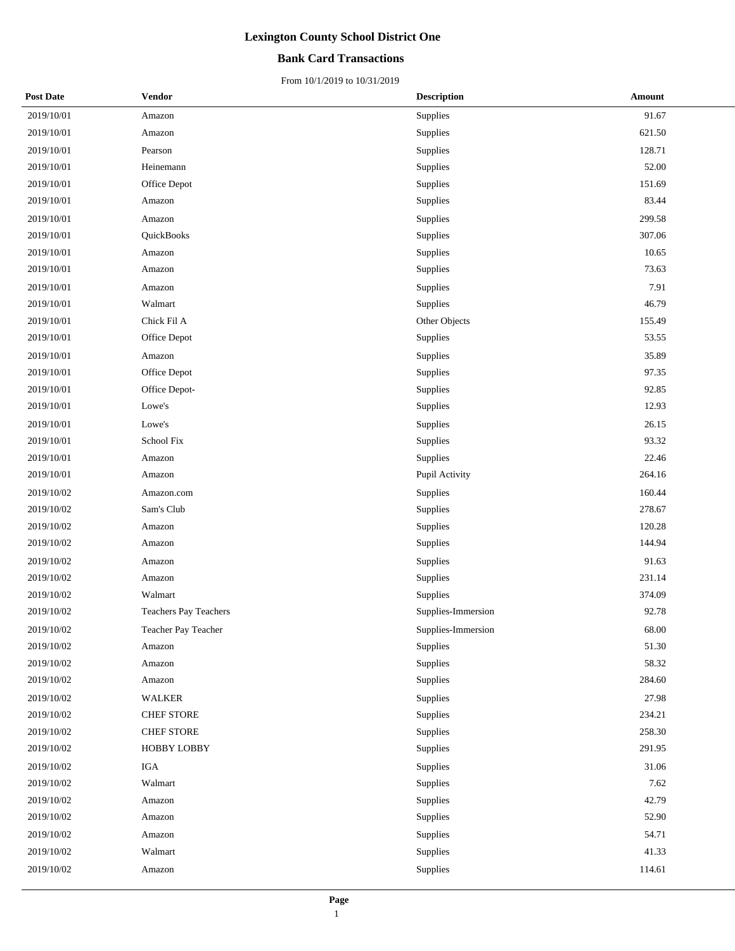### **Bank Card Transactions**

| <b>Post Date</b> | Vendor                       | <b>Description</b> | Amount |
|------------------|------------------------------|--------------------|--------|
| 2019/10/01       | Amazon                       | Supplies           | 91.67  |
| 2019/10/01       | Amazon                       | Supplies           | 621.50 |
| 2019/10/01       | Pearson                      | Supplies           | 128.71 |
| 2019/10/01       | Heinemann                    | Supplies           | 52.00  |
| 2019/10/01       | Office Depot                 | Supplies           | 151.69 |
| 2019/10/01       | Amazon                       | Supplies           | 83.44  |
| 2019/10/01       | Amazon                       | Supplies           | 299.58 |
| 2019/10/01       | QuickBooks                   | Supplies           | 307.06 |
| 2019/10/01       | Amazon                       | Supplies           | 10.65  |
| 2019/10/01       | Amazon                       | Supplies           | 73.63  |
| 2019/10/01       | Amazon                       | Supplies           | 7.91   |
| 2019/10/01       | Walmart                      | Supplies           | 46.79  |
| 2019/10/01       | Chick Fil A                  | Other Objects      | 155.49 |
| 2019/10/01       | Office Depot                 | Supplies           | 53.55  |
| 2019/10/01       | Amazon                       | Supplies           | 35.89  |
| 2019/10/01       | Office Depot                 | Supplies           | 97.35  |
| 2019/10/01       | Office Depot-                | Supplies           | 92.85  |
| 2019/10/01       | Lowe's                       | Supplies           | 12.93  |
| 2019/10/01       | Lowe's                       | Supplies           | 26.15  |
| 2019/10/01       | School Fix                   | Supplies           | 93.32  |
| 2019/10/01       | Amazon                       | Supplies           | 22.46  |
| 2019/10/01       | Amazon                       | Pupil Activity     | 264.16 |
| 2019/10/02       | Amazon.com                   | Supplies           | 160.44 |
| 2019/10/02       | Sam's Club                   | Supplies           | 278.67 |
| 2019/10/02       | Amazon                       | Supplies           | 120.28 |
| 2019/10/02       | Amazon                       | Supplies           | 144.94 |
| 2019/10/02       | Amazon                       | Supplies           | 91.63  |
| 2019/10/02       | Amazon                       | Supplies           | 231.14 |
| 2019/10/02       | Walmart                      | Supplies           | 374.09 |
| 2019/10/02       | <b>Teachers Pay Teachers</b> | Supplies-Immersion | 92.78  |
| 2019/10/02       | Teacher Pay Teacher          | Supplies-Immersion | 68.00  |
| 2019/10/02       | Amazon                       | Supplies           | 51.30  |
| 2019/10/02       | Amazon                       | Supplies           | 58.32  |
| 2019/10/02       | Amazon                       | Supplies           | 284.60 |
| 2019/10/02       | WALKER                       | Supplies           | 27.98  |
| 2019/10/02       | CHEF STORE                   | Supplies           | 234.21 |
| 2019/10/02       | CHEF STORE                   | Supplies           | 258.30 |
| 2019/10/02       | <b>HOBBY LOBBY</b>           | Supplies           | 291.95 |
| 2019/10/02       | IGA                          | Supplies           | 31.06  |
| 2019/10/02       | Walmart                      | Supplies           | 7.62   |
| 2019/10/02       | Amazon                       | Supplies           | 42.79  |
| 2019/10/02       | Amazon                       | Supplies           | 52.90  |
| 2019/10/02       | Amazon                       | Supplies           | 54.71  |
| 2019/10/02       | Walmart                      | Supplies           | 41.33  |
| 2019/10/02       | Amazon                       | Supplies           | 114.61 |
|                  |                              |                    |        |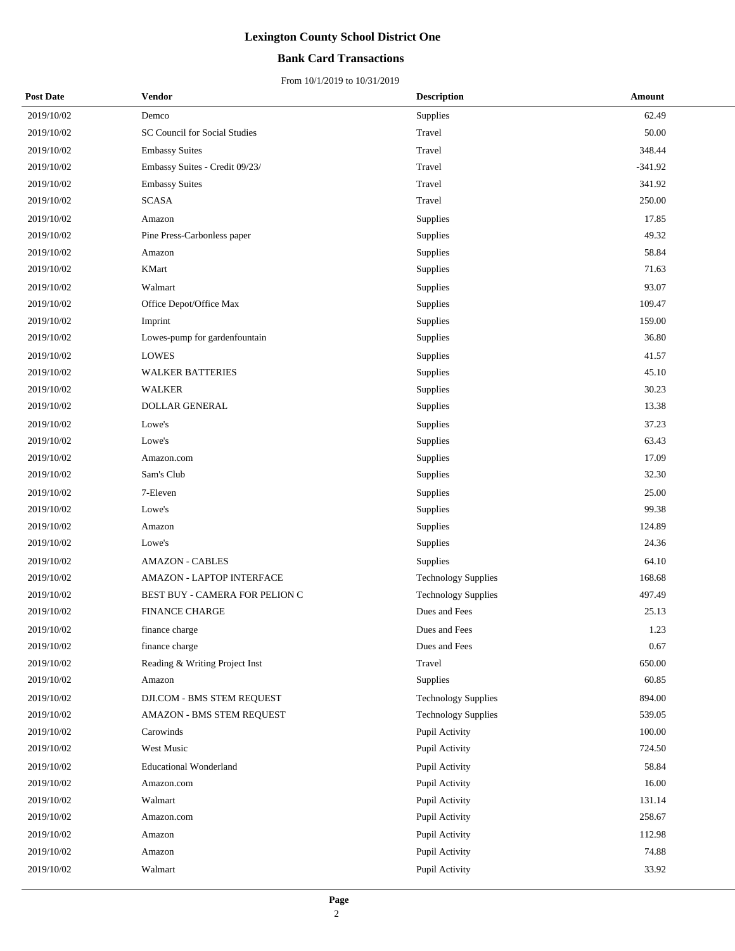## **Bank Card Transactions**

| <b>Post Date</b> | Vendor                         | <b>Description</b>         | Amount    |
|------------------|--------------------------------|----------------------------|-----------|
| 2019/10/02       | Demco                          | Supplies                   | 62.49     |
| 2019/10/02       | SC Council for Social Studies  | Travel                     | 50.00     |
| 2019/10/02       | <b>Embassy Suites</b>          | Travel                     | 348.44    |
| 2019/10/02       | Embassy Suites - Credit 09/23/ | Travel                     | $-341.92$ |
| 2019/10/02       | <b>Embassy Suites</b>          | Travel                     | 341.92    |
| 2019/10/02       | <b>SCASA</b>                   | Travel                     | 250.00    |
| 2019/10/02       | Amazon                         | Supplies                   | 17.85     |
| 2019/10/02       | Pine Press-Carbonless paper    | Supplies                   | 49.32     |
| 2019/10/02       | Amazon                         | Supplies                   | 58.84     |
| 2019/10/02       | <b>KMart</b>                   | Supplies                   | 71.63     |
| 2019/10/02       | Walmart                        | Supplies                   | 93.07     |
| 2019/10/02       | Office Depot/Office Max        | Supplies                   | 109.47    |
| 2019/10/02       | Imprint                        | Supplies                   | 159.00    |
| 2019/10/02       | Lowes-pump for gardenfountain  | Supplies                   | 36.80     |
| 2019/10/02       | <b>LOWES</b>                   | Supplies                   | 41.57     |
| 2019/10/02       | <b>WALKER BATTERIES</b>        | Supplies                   | 45.10     |
| 2019/10/02       | <b>WALKER</b>                  | Supplies                   | 30.23     |
| 2019/10/02       | <b>DOLLAR GENERAL</b>          | Supplies                   | 13.38     |
| 2019/10/02       | Lowe's                         | Supplies                   | 37.23     |
| 2019/10/02       | Lowe's                         | Supplies                   | 63.43     |
| 2019/10/02       | Amazon.com                     | Supplies                   | 17.09     |
| 2019/10/02       | Sam's Club                     | Supplies                   | 32.30     |
| 2019/10/02       | 7-Eleven                       | Supplies                   | 25.00     |
| 2019/10/02       | Lowe's                         | Supplies                   | 99.38     |
| 2019/10/02       | Amazon                         | Supplies                   | 124.89    |
| 2019/10/02       | Lowe's                         | Supplies                   | 24.36     |
| 2019/10/02       | <b>AMAZON - CABLES</b>         | Supplies                   | 64.10     |
| 2019/10/02       | AMAZON - LAPTOP INTERFACE      | <b>Technology Supplies</b> | 168.68    |
| 2019/10/02       | BEST BUY - CAMERA FOR PELION C | <b>Technology Supplies</b> | 497.49    |
| 2019/10/02       | <b>FINANCE CHARGE</b>          | Dues and Fees              | 25.13     |
| 2019/10/02       | finance charge                 | Dues and Fees              | 1.23      |
| 2019/10/02       | finance charge                 | Dues and Fees              | 0.67      |
| 2019/10/02       | Reading & Writing Project Inst | Travel                     | 650.00    |
| 2019/10/02       | Amazon                         | Supplies                   | 60.85     |
| 2019/10/02       | DJI.COM - BMS STEM REQUEST     | <b>Technology Supplies</b> | 894.00    |
| 2019/10/02       | AMAZON - BMS STEM REQUEST      | <b>Technology Supplies</b> | 539.05    |
| 2019/10/02       | Carowinds                      | Pupil Activity             | 100.00    |
| 2019/10/02       | West Music                     | Pupil Activity             | 724.50    |
| 2019/10/02       | <b>Educational Wonderland</b>  | Pupil Activity             | 58.84     |
| 2019/10/02       | Amazon.com                     | Pupil Activity             | 16.00     |
| 2019/10/02       | Walmart                        | Pupil Activity             | 131.14    |
| 2019/10/02       | Amazon.com                     | Pupil Activity             | 258.67    |
| 2019/10/02       | Amazon                         | Pupil Activity             | 112.98    |
| 2019/10/02       | Amazon                         | Pupil Activity             | 74.88     |
| 2019/10/02       | Walmart                        | Pupil Activity             | 33.92     |
|                  |                                |                            |           |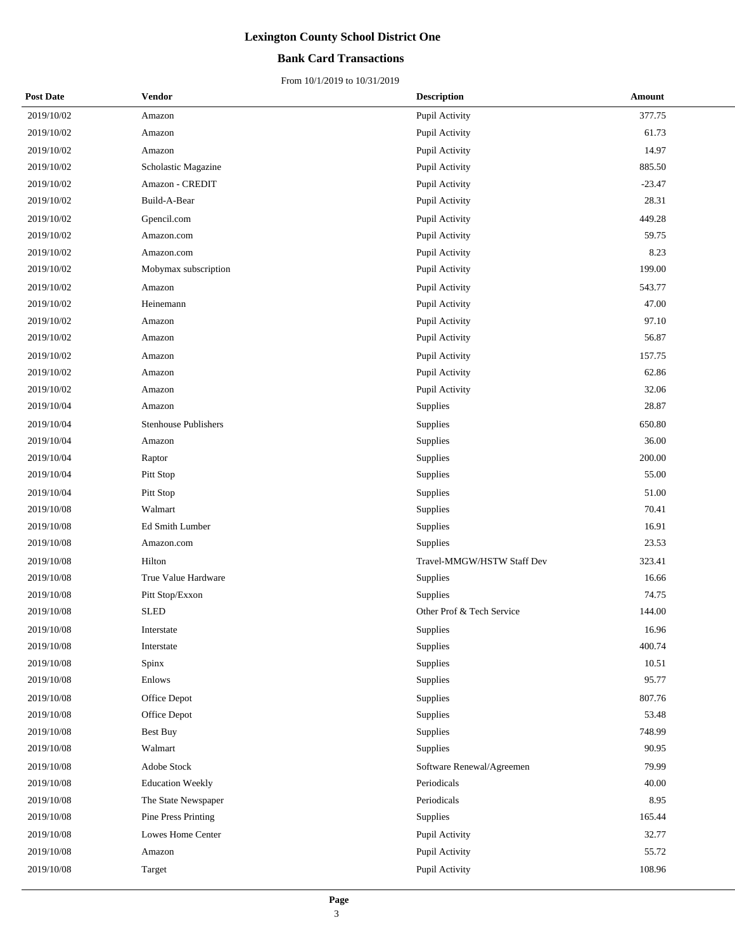## **Bank Card Transactions**

| <b>Post Date</b> | Vendor                      | <b>Description</b>         | Amount   |
|------------------|-----------------------------|----------------------------|----------|
| 2019/10/02       | Amazon                      | Pupil Activity             | 377.75   |
| 2019/10/02       | Amazon                      | Pupil Activity             | 61.73    |
| 2019/10/02       | Amazon                      | Pupil Activity             | 14.97    |
| 2019/10/02       | Scholastic Magazine         | Pupil Activity             | 885.50   |
| 2019/10/02       | Amazon - CREDIT             | Pupil Activity             | $-23.47$ |
| 2019/10/02       | Build-A-Bear                | Pupil Activity             | 28.31    |
| 2019/10/02       | Gpencil.com                 | Pupil Activity             | 449.28   |
| 2019/10/02       | Amazon.com                  | Pupil Activity             | 59.75    |
| 2019/10/02       | Amazon.com                  | Pupil Activity             | 8.23     |
| 2019/10/02       | Mobymax subscription        | Pupil Activity             | 199.00   |
| 2019/10/02       | Amazon                      | Pupil Activity             | 543.77   |
| 2019/10/02       | Heinemann                   | Pupil Activity             | 47.00    |
| 2019/10/02       | Amazon                      | Pupil Activity             | 97.10    |
| 2019/10/02       | Amazon                      | Pupil Activity             | 56.87    |
| 2019/10/02       | Amazon                      | Pupil Activity             | 157.75   |
| 2019/10/02       | Amazon                      | Pupil Activity             | 62.86    |
| 2019/10/02       | Amazon                      | Pupil Activity             | 32.06    |
| 2019/10/04       | Amazon                      | Supplies                   | 28.87    |
| 2019/10/04       | <b>Stenhouse Publishers</b> | Supplies                   | 650.80   |
| 2019/10/04       | Amazon                      | Supplies                   | 36.00    |
| 2019/10/04       | Raptor                      | Supplies                   | 200.00   |
| 2019/10/04       | Pitt Stop                   | Supplies                   | 55.00    |
| 2019/10/04       | Pitt Stop                   | Supplies                   | 51.00    |
| 2019/10/08       | Walmart                     | Supplies                   | 70.41    |
| 2019/10/08       | Ed Smith Lumber             | Supplies                   | 16.91    |
| 2019/10/08       | Amazon.com                  | Supplies                   | 23.53    |
| 2019/10/08       | Hilton                      | Travel-MMGW/HSTW Staff Dev | 323.41   |
| 2019/10/08       | True Value Hardware         | Supplies                   | 16.66    |
| 2019/10/08       | Pitt Stop/Exxon             | Supplies                   | 74.75    |
| 2019/10/08       | <b>SLED</b>                 | Other Prof & Tech Service  | 144.00   |
| 2019/10/08       | Interstate                  | Supplies                   | 16.96    |
| 2019/10/08       | Interstate                  | Supplies                   | 400.74   |
| 2019/10/08       | Spinx                       | Supplies                   | 10.51    |
| 2019/10/08       | Enlows                      | Supplies                   | 95.77    |
| 2019/10/08       | Office Depot                | Supplies                   | 807.76   |
| 2019/10/08       | Office Depot                | Supplies                   | 53.48    |
| 2019/10/08       | Best Buy                    | Supplies                   | 748.99   |
| 2019/10/08       | Walmart                     | Supplies                   | 90.95    |
| 2019/10/08       | Adobe Stock                 | Software Renewal/Agreemen  | 79.99    |
| 2019/10/08       | <b>Education Weekly</b>     | Periodicals                | 40.00    |
| 2019/10/08       | The State Newspaper         | Periodicals                | 8.95     |
| 2019/10/08       | Pine Press Printing         | Supplies                   | 165.44   |
| 2019/10/08       | Lowes Home Center           | Pupil Activity             | 32.77    |
| 2019/10/08       | Amazon                      | Pupil Activity             | 55.72    |
| 2019/10/08       | Target                      | Pupil Activity             | 108.96   |
|                  |                             |                            |          |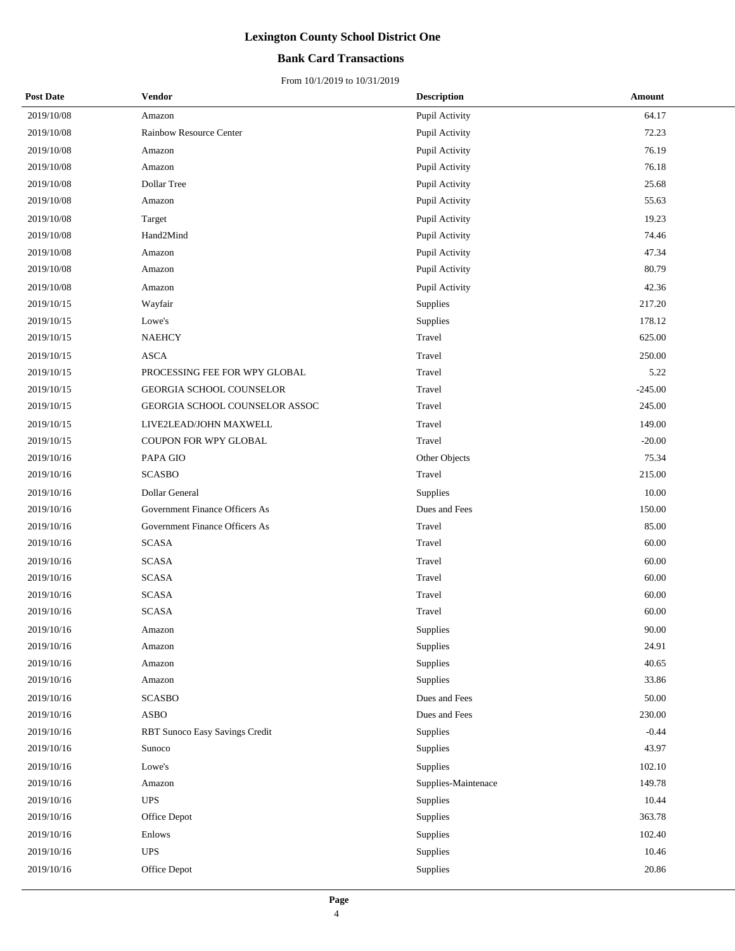## **Bank Card Transactions**

| <b>Post Date</b> | Vendor                         | <b>Description</b>  | Amount    |
|------------------|--------------------------------|---------------------|-----------|
| 2019/10/08       | Amazon                         | Pupil Activity      | 64.17     |
| 2019/10/08       | Rainbow Resource Center        | Pupil Activity      | 72.23     |
| 2019/10/08       | Amazon                         | Pupil Activity      | 76.19     |
| 2019/10/08       | Amazon                         | Pupil Activity      | 76.18     |
| 2019/10/08       | Dollar Tree                    | Pupil Activity      | 25.68     |
| 2019/10/08       | Amazon                         | Pupil Activity      | 55.63     |
| 2019/10/08       | Target                         | Pupil Activity      | 19.23     |
| 2019/10/08       | Hand2Mind                      | Pupil Activity      | 74.46     |
| 2019/10/08       | Amazon                         | Pupil Activity      | 47.34     |
| 2019/10/08       | Amazon                         | Pupil Activity      | 80.79     |
| 2019/10/08       | Amazon                         | Pupil Activity      | 42.36     |
| 2019/10/15       | Wayfair                        | Supplies            | 217.20    |
| 2019/10/15       | Lowe's                         | Supplies            | 178.12    |
| 2019/10/15       | <b>NAEHCY</b>                  | Travel              | 625.00    |
| 2019/10/15       | <b>ASCA</b>                    | Travel              | 250.00    |
| 2019/10/15       | PROCESSING FEE FOR WPY GLOBAL  | Travel              | 5.22      |
| 2019/10/15       | GEORGIA SCHOOL COUNSELOR       | Travel              | $-245.00$ |
| 2019/10/15       | GEORGIA SCHOOL COUNSELOR ASSOC | Travel              | 245.00    |
| 2019/10/15       | LIVE2LEAD/JOHN MAXWELL         | Travel              | 149.00    |
| 2019/10/15       | COUPON FOR WPY GLOBAL          | Travel              | $-20.00$  |
| 2019/10/16       | PAPA GIO                       | Other Objects       | 75.34     |
| 2019/10/16       | <b>SCASBO</b>                  | Travel              | 215.00    |
| 2019/10/16       | Dollar General                 | Supplies            | 10.00     |
| 2019/10/16       | Government Finance Officers As | Dues and Fees       | 150.00    |
| 2019/10/16       | Government Finance Officers As | Travel              | 85.00     |
| 2019/10/16       | <b>SCASA</b>                   | Travel              | 60.00     |
| 2019/10/16       | <b>SCASA</b>                   | Travel              | 60.00     |
| 2019/10/16       | <b>SCASA</b>                   | Travel              | 60.00     |
| 2019/10/16       | <b>SCASA</b>                   | Travel              | 60.00     |
| 2019/10/16       | <b>SCASA</b>                   | Travel              | 60.00     |
| 2019/10/16       | Amazon                         | Supplies            | 90.00     |
| 2019/10/16       | Amazon                         | Supplies            | 24.91     |
| 2019/10/16       | Amazon                         | Supplies            | 40.65     |
| 2019/10/16       | Amazon                         | Supplies            | 33.86     |
| 2019/10/16       | <b>SCASBO</b>                  | Dues and Fees       | 50.00     |
| 2019/10/16       | <b>ASBO</b>                    | Dues and Fees       | 230.00    |
| 2019/10/16       | RBT Sunoco Easy Savings Credit | Supplies            | $-0.44$   |
| 2019/10/16       | Sunoco                         | Supplies            | 43.97     |
| 2019/10/16       | Lowe's                         | Supplies            | 102.10    |
| 2019/10/16       | Amazon                         | Supplies-Maintenace | 149.78    |
| 2019/10/16       | <b>UPS</b>                     | Supplies            | 10.44     |
| 2019/10/16       | Office Depot                   | Supplies            | 363.78    |
| 2019/10/16       | Enlows                         | Supplies            | 102.40    |
| 2019/10/16       | <b>UPS</b>                     | Supplies            | 10.46     |
| 2019/10/16       | Office Depot                   | Supplies            | 20.86     |
|                  |                                |                     |           |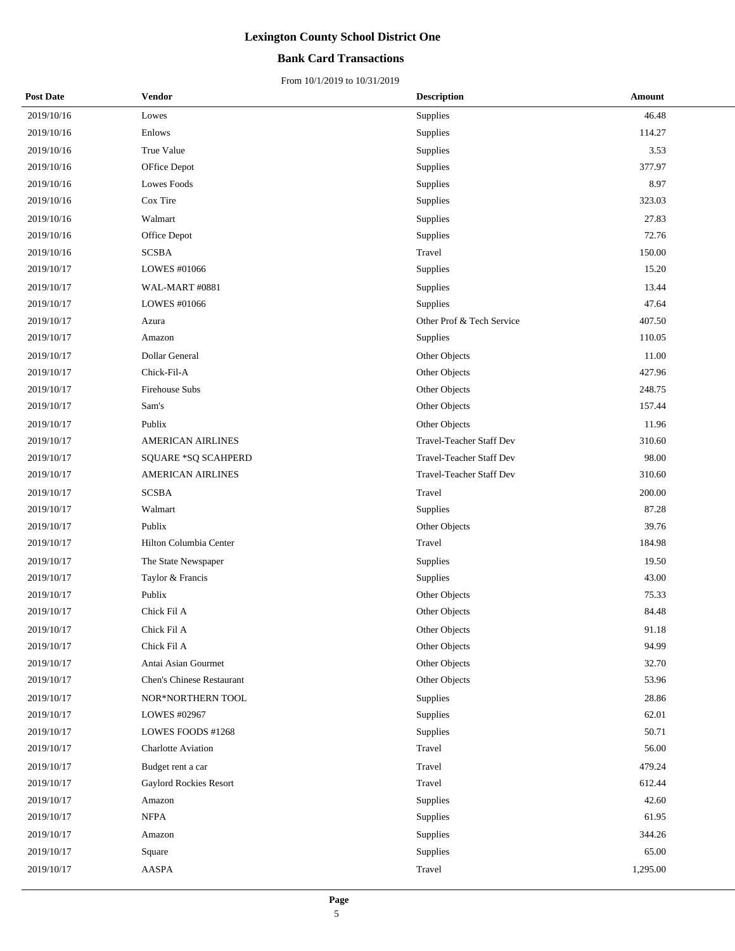## **Bank Card Transactions**

| <b>Post Date</b> | Vendor                        | <b>Description</b>        | Amount   |
|------------------|-------------------------------|---------------------------|----------|
| 2019/10/16       | Lowes                         | Supplies                  | 46.48    |
| 2019/10/16       | Enlows                        | Supplies                  | 114.27   |
| 2019/10/16       | True Value                    | Supplies                  | 3.53     |
| 2019/10/16       | OFfice Depot                  | Supplies                  | 377.97   |
| 2019/10/16       | Lowes Foods                   | Supplies                  | 8.97     |
| 2019/10/16       | Cox Tire                      | Supplies                  | 323.03   |
| 2019/10/16       | Walmart                       | Supplies                  | 27.83    |
| 2019/10/16       | Office Depot                  | Supplies                  | 72.76    |
| 2019/10/16       | <b>SCSBA</b>                  | Travel                    | 150.00   |
| 2019/10/17       | LOWES #01066                  | Supplies                  | 15.20    |
| 2019/10/17       | WAL-MART #0881                | Supplies                  | 13.44    |
| 2019/10/17       | LOWES #01066                  | Supplies                  | 47.64    |
| 2019/10/17       | Azura                         | Other Prof & Tech Service | 407.50   |
| 2019/10/17       | Amazon                        | Supplies                  | 110.05   |
| 2019/10/17       | Dollar General                | Other Objects             | 11.00    |
| 2019/10/17       | Chick-Fil-A                   | Other Objects             | 427.96   |
| 2019/10/17       | Firehouse Subs                | Other Objects             | 248.75   |
| 2019/10/17       | Sam's                         | Other Objects             | 157.44   |
| 2019/10/17       | Publix                        | Other Objects             | 11.96    |
| 2019/10/17       | <b>AMERICAN AIRLINES</b>      | Travel-Teacher Staff Dev  | 310.60   |
| 2019/10/17       | SQUARE *SQ SCAHPERD           | Travel-Teacher Staff Dev  | 98.00    |
| 2019/10/17       | <b>AMERICAN AIRLINES</b>      | Travel-Teacher Staff Dev  | 310.60   |
| 2019/10/17       | <b>SCSBA</b>                  | Travel                    | 200.00   |
| 2019/10/17       | Walmart                       | Supplies                  | 87.28    |
| 2019/10/17       | Publix                        | Other Objects             | 39.76    |
| 2019/10/17       | Hilton Columbia Center        | Travel                    | 184.98   |
| 2019/10/17       | The State Newspaper           | Supplies                  | 19.50    |
| 2019/10/17       | Taylor & Francis              | Supplies                  | 43.00    |
| 2019/10/17       | Publix                        | Other Objects             | 75.33    |
| 2019/10/17       | Chick Fil A                   | Other Objects             | 84.48    |
| 2019/10/17       | Chick Fil A                   | Other Objects             | 91.18    |
| 2019/10/17       | Chick Fil A                   | Other Objects             | 94.99    |
| 2019/10/17       | Antai Asian Gourmet           | Other Objects             | 32.70    |
| 2019/10/17       | Chen's Chinese Restaurant     | Other Objects             | 53.96    |
| 2019/10/17       | NOR*NORTHERN TOOL             | Supplies                  | 28.86    |
| 2019/10/17       | LOWES #02967                  | Supplies                  | 62.01    |
| 2019/10/17       | LOWES FOODS #1268             | Supplies                  | 50.71    |
| 2019/10/17       | <b>Charlotte Aviation</b>     | Travel                    | 56.00    |
| 2019/10/17       | Budget rent a car             | Travel                    | 479.24   |
| 2019/10/17       | <b>Gaylord Rockies Resort</b> | Travel                    | 612.44   |
| 2019/10/17       | Amazon                        | Supplies                  | 42.60    |
| 2019/10/17       | <b>NFPA</b>                   | Supplies                  | 61.95    |
| 2019/10/17       | Amazon                        | Supplies                  | 344.26   |
| 2019/10/17       | Square                        | Supplies                  | 65.00    |
| 2019/10/17       | AASPA                         | Travel                    | 1,295.00 |
|                  |                               |                           |          |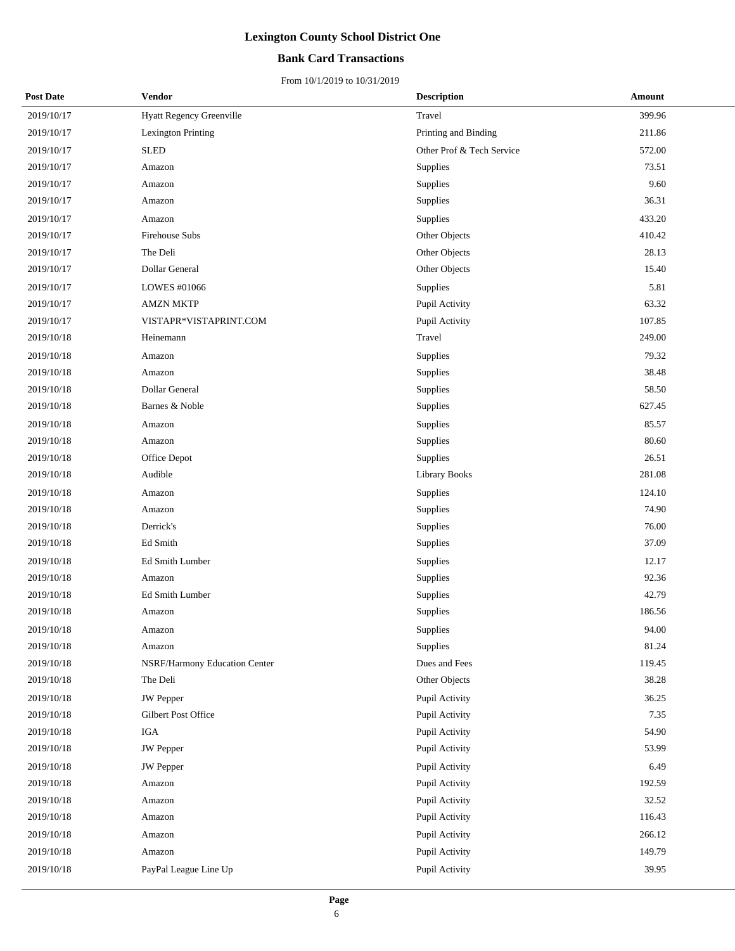## **Bank Card Transactions**

| <b>Post Date</b> | Vendor                          | <b>Description</b>        | Amount |
|------------------|---------------------------------|---------------------------|--------|
| 2019/10/17       | <b>Hyatt Regency Greenville</b> | Travel                    | 399.96 |
| 2019/10/17       | Lexington Printing              | Printing and Binding      | 211.86 |
| 2019/10/17       | <b>SLED</b>                     | Other Prof & Tech Service | 572.00 |
| 2019/10/17       | Amazon                          | <b>Supplies</b>           | 73.51  |
| 2019/10/17       | Amazon                          | Supplies                  | 9.60   |
| 2019/10/17       | Amazon                          | Supplies                  | 36.31  |
| 2019/10/17       | Amazon                          | Supplies                  | 433.20 |
| 2019/10/17       | <b>Firehouse Subs</b>           | Other Objects             | 410.42 |
| 2019/10/17       | The Deli                        | Other Objects             | 28.13  |
| 2019/10/17       | Dollar General                  | Other Objects             | 15.40  |
| 2019/10/17       | LOWES #01066                    | <b>Supplies</b>           | 5.81   |
| 2019/10/17       | <b>AMZN MKTP</b>                | Pupil Activity            | 63.32  |
| 2019/10/17       | VISTAPR*VISTAPRINT.COM          | Pupil Activity            | 107.85 |
| 2019/10/18       | Heinemann                       | Travel                    | 249.00 |
| 2019/10/18       | Amazon                          | Supplies                  | 79.32  |
| 2019/10/18       | Amazon                          | <b>Supplies</b>           | 38.48  |
| 2019/10/18       | Dollar General                  | <b>Supplies</b>           | 58.50  |
| 2019/10/18       | Barnes & Noble                  | Supplies                  | 627.45 |
| 2019/10/18       | Amazon                          | Supplies                  | 85.57  |
| 2019/10/18       | Amazon                          | Supplies                  | 80.60  |
| 2019/10/18       | Office Depot                    | Supplies                  | 26.51  |
| 2019/10/18       | Audible                         | <b>Library Books</b>      | 281.08 |
| 2019/10/18       | Amazon                          | Supplies                  | 124.10 |
| 2019/10/18       | Amazon                          | <b>Supplies</b>           | 74.90  |
| 2019/10/18       | Derrick's                       | Supplies                  | 76.00  |
| 2019/10/18       | Ed Smith                        | Supplies                  | 37.09  |
| 2019/10/18       | Ed Smith Lumber                 | Supplies                  | 12.17  |
| 2019/10/18       | Amazon                          | <b>Supplies</b>           | 92.36  |
| 2019/10/18       | Ed Smith Lumber                 | Supplies                  | 42.79  |
| 2019/10/18       | Amazon                          | Supplies                  | 186.56 |
| 2019/10/18       | Amazon                          | Supplies                  | 94.00  |
| 2019/10/18       | Amazon                          | Supplies                  | 81.24  |
| 2019/10/18       | NSRF/Harmony Education Center   | Dues and Fees             | 119.45 |
| 2019/10/18       | The Deli                        | Other Objects             | 38.28  |
| 2019/10/18       | <b>JW</b> Pepper                | Pupil Activity            | 36.25  |
| 2019/10/18       | Gilbert Post Office             | Pupil Activity            | 7.35   |
| 2019/10/18       | <b>IGA</b>                      | Pupil Activity            | 54.90  |
| 2019/10/18       | <b>JW</b> Pepper                | Pupil Activity            | 53.99  |
| 2019/10/18       | <b>JW</b> Pepper                | Pupil Activity            | 6.49   |
| 2019/10/18       | Amazon                          | Pupil Activity            | 192.59 |
| 2019/10/18       | Amazon                          | Pupil Activity            | 32.52  |
| 2019/10/18       | Amazon                          | Pupil Activity            | 116.43 |
| 2019/10/18       | Amazon                          | Pupil Activity            | 266.12 |
| 2019/10/18       | Amazon                          | Pupil Activity            | 149.79 |
| 2019/10/18       | PayPal League Line Up           | Pupil Activity            | 39.95  |
|                  |                                 |                           |        |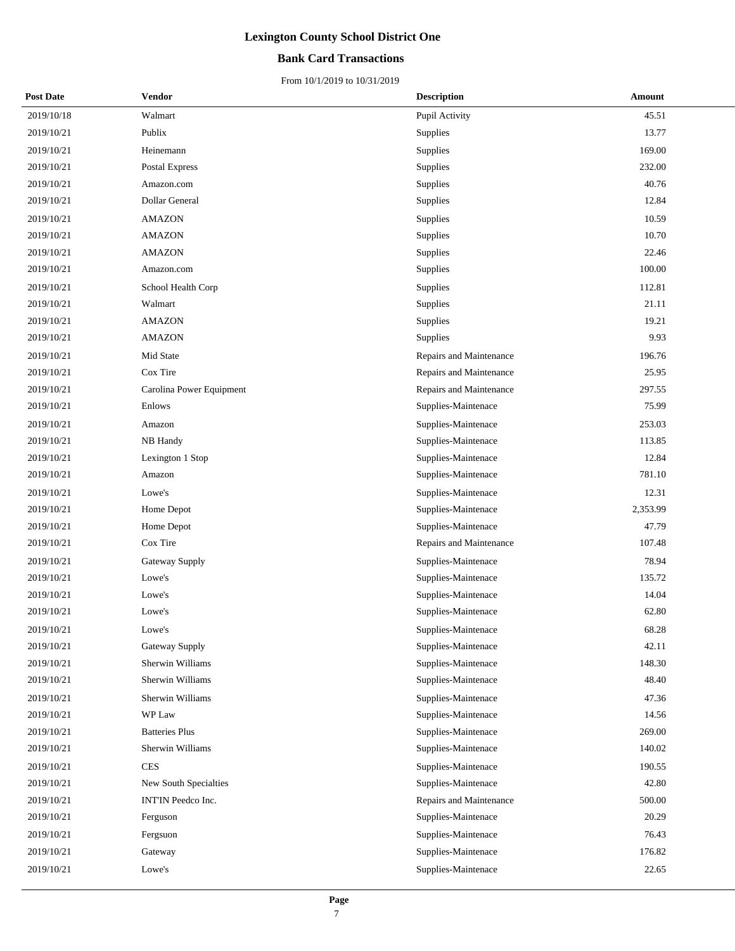## **Bank Card Transactions**

| <b>Post Date</b> | Vendor                   | <b>Description</b>      | Amount   |
|------------------|--------------------------|-------------------------|----------|
| 2019/10/18       | Walmart                  | Pupil Activity          | 45.51    |
| 2019/10/21       | Publix                   | Supplies                | 13.77    |
| 2019/10/21       | Heinemann                | Supplies                | 169.00   |
| 2019/10/21       | Postal Express           | Supplies                | 232.00   |
| 2019/10/21       | Amazon.com               | Supplies                | 40.76    |
| 2019/10/21       | Dollar General           | Supplies                | 12.84    |
| 2019/10/21       | <b>AMAZON</b>            | Supplies                | 10.59    |
| 2019/10/21       | <b>AMAZON</b>            | Supplies                | 10.70    |
| 2019/10/21       | <b>AMAZON</b>            | Supplies                | 22.46    |
| 2019/10/21       | Amazon.com               | Supplies                | 100.00   |
| 2019/10/21       | School Health Corp       | Supplies                | 112.81   |
| 2019/10/21       | Walmart                  | Supplies                | 21.11    |
| 2019/10/21       | <b>AMAZON</b>            | <b>Supplies</b>         | 19.21    |
| 2019/10/21       | <b>AMAZON</b>            | Supplies                | 9.93     |
| 2019/10/21       | Mid State                | Repairs and Maintenance | 196.76   |
| 2019/10/21       | Cox Tire                 | Repairs and Maintenance | 25.95    |
| 2019/10/21       | Carolina Power Equipment | Repairs and Maintenance | 297.55   |
| 2019/10/21       | Enlows                   | Supplies-Maintenace     | 75.99    |
| 2019/10/21       | Amazon                   | Supplies-Maintenace     | 253.03   |
| 2019/10/21       | NB Handy                 | Supplies-Maintenace     | 113.85   |
| 2019/10/21       | Lexington 1 Stop         | Supplies-Maintenace     | 12.84    |
| 2019/10/21       | Amazon                   | Supplies-Maintenace     | 781.10   |
| 2019/10/21       | Lowe's                   | Supplies-Maintenace     | 12.31    |
| 2019/10/21       | Home Depot               | Supplies-Maintenace     | 2,353.99 |
| 2019/10/21       | Home Depot               | Supplies-Maintenace     | 47.79    |
| 2019/10/21       | Cox Tire                 | Repairs and Maintenance | 107.48   |
| 2019/10/21       | Gateway Supply           | Supplies-Maintenace     | 78.94    |
| 2019/10/21       | Lowe's                   | Supplies-Maintenace     | 135.72   |
| 2019/10/21       | Lowe's                   | Supplies-Maintenace     | 14.04    |
| 2019/10/21       | Lowe's                   | Supplies-Maintenace     | 62.80    |
| 2019/10/21       | Lowe's                   | Supplies-Maintenace     | 68.28    |
| 2019/10/21       | Gateway Supply           | Supplies-Maintenace     | 42.11    |
| 2019/10/21       | Sherwin Williams         | Supplies-Maintenace     | 148.30   |
| 2019/10/21       | Sherwin Williams         | Supplies-Maintenace     | 48.40    |
| 2019/10/21       | Sherwin Williams         | Supplies-Maintenace     | 47.36    |
| 2019/10/21       | WP Law                   | Supplies-Maintenace     | 14.56    |
| 2019/10/21       | <b>Batteries Plus</b>    | Supplies-Maintenace     | 269.00   |
| 2019/10/21       | Sherwin Williams         | Supplies-Maintenace     | 140.02   |
| 2019/10/21       | <b>CES</b>               | Supplies-Maintenace     | 190.55   |
| 2019/10/21       | New South Specialties    | Supplies-Maintenace     | 42.80    |
| 2019/10/21       | INT'IN Peedco Inc.       | Repairs and Maintenance | 500.00   |
| 2019/10/21       | Ferguson                 | Supplies-Maintenace     | 20.29    |
| 2019/10/21       | Fergsuon                 | Supplies-Maintenace     | 76.43    |
| 2019/10/21       | Gateway                  | Supplies-Maintenace     | 176.82   |
| 2019/10/21       | Lowe's                   | Supplies-Maintenace     | 22.65    |
|                  |                          |                         |          |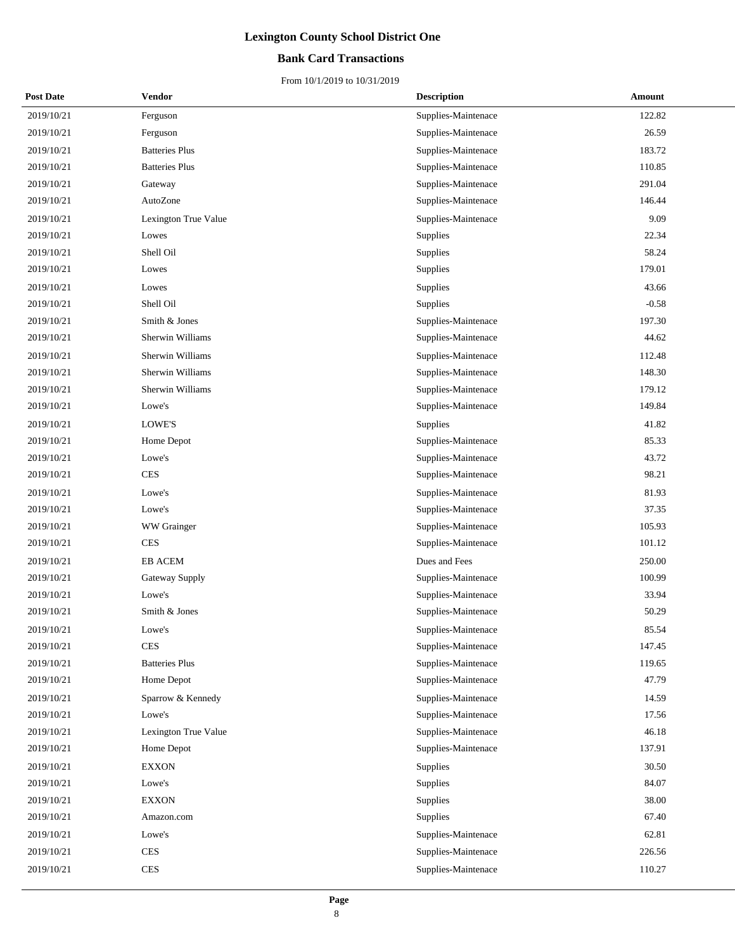## **Bank Card Transactions**

| <b>Post Date</b> | Vendor                | <b>Description</b>  | Amount  |
|------------------|-----------------------|---------------------|---------|
| 2019/10/21       | Ferguson              | Supplies-Maintenace | 122.82  |
| 2019/10/21       | Ferguson              | Supplies-Maintenace | 26.59   |
| 2019/10/21       | <b>Batteries Plus</b> | Supplies-Maintenace | 183.72  |
| 2019/10/21       | <b>Batteries Plus</b> | Supplies-Maintenace | 110.85  |
| 2019/10/21       | Gateway               | Supplies-Maintenace | 291.04  |
| 2019/10/21       | AutoZone              | Supplies-Maintenace | 146.44  |
| 2019/10/21       | Lexington True Value  | Supplies-Maintenace | 9.09    |
| 2019/10/21       | Lowes                 | Supplies            | 22.34   |
| 2019/10/21       | Shell Oil             | Supplies            | 58.24   |
| 2019/10/21       | Lowes                 | Supplies            | 179.01  |
| 2019/10/21       | Lowes                 | Supplies            | 43.66   |
| 2019/10/21       | Shell Oil             | Supplies            | $-0.58$ |
| 2019/10/21       | Smith & Jones         | Supplies-Maintenace | 197.30  |
| 2019/10/21       | Sherwin Williams      | Supplies-Maintenace | 44.62   |
| 2019/10/21       | Sherwin Williams      | Supplies-Maintenace | 112.48  |
| 2019/10/21       | Sherwin Williams      | Supplies-Maintenace | 148.30  |
| 2019/10/21       | Sherwin Williams      | Supplies-Maintenace | 179.12  |
| 2019/10/21       | Lowe's                | Supplies-Maintenace | 149.84  |
| 2019/10/21       | LOWE'S                | Supplies            | 41.82   |
| 2019/10/21       | Home Depot            | Supplies-Maintenace | 85.33   |
| 2019/10/21       | Lowe's                | Supplies-Maintenace | 43.72   |
| 2019/10/21       | <b>CES</b>            | Supplies-Maintenace | 98.21   |
| 2019/10/21       | Lowe's                | Supplies-Maintenace | 81.93   |
| 2019/10/21       | Lowe's                | Supplies-Maintenace | 37.35   |
| 2019/10/21       | WW Grainger           | Supplies-Maintenace | 105.93  |
| 2019/10/21       | <b>CES</b>            | Supplies-Maintenace | 101.12  |
| 2019/10/21       | EB ACEM               | Dues and Fees       | 250.00  |
| 2019/10/21       | Gateway Supply        | Supplies-Maintenace | 100.99  |
| 2019/10/21       | Lowe's                | Supplies-Maintenace | 33.94   |
| 2019/10/21       | Smith & Jones         | Supplies-Maintenace | 50.29   |
| 2019/10/21       | Lowe's                | Supplies-Maintenace | 85.54   |
| 2019/10/21       | <b>CES</b>            | Supplies-Maintenace | 147.45  |
| 2019/10/21       | <b>Batteries Plus</b> | Supplies-Maintenace | 119.65  |
| 2019/10/21       | Home Depot            | Supplies-Maintenace | 47.79   |
| 2019/10/21       | Sparrow & Kennedy     | Supplies-Maintenace | 14.59   |
| 2019/10/21       | Lowe's                | Supplies-Maintenace | 17.56   |
| 2019/10/21       | Lexington True Value  | Supplies-Maintenace | 46.18   |
| 2019/10/21       | Home Depot            | Supplies-Maintenace | 137.91  |
| 2019/10/21       | <b>EXXON</b>          | Supplies            | 30.50   |
| 2019/10/21       | Lowe's                | Supplies            | 84.07   |
| 2019/10/21       | <b>EXXON</b>          | Supplies            | 38.00   |
| 2019/10/21       | Amazon.com            | Supplies            | 67.40   |
| 2019/10/21       | Lowe's                | Supplies-Maintenace | 62.81   |
| 2019/10/21       | <b>CES</b>            | Supplies-Maintenace | 226.56  |
| 2019/10/21       | <b>CES</b>            | Supplies-Maintenace | 110.27  |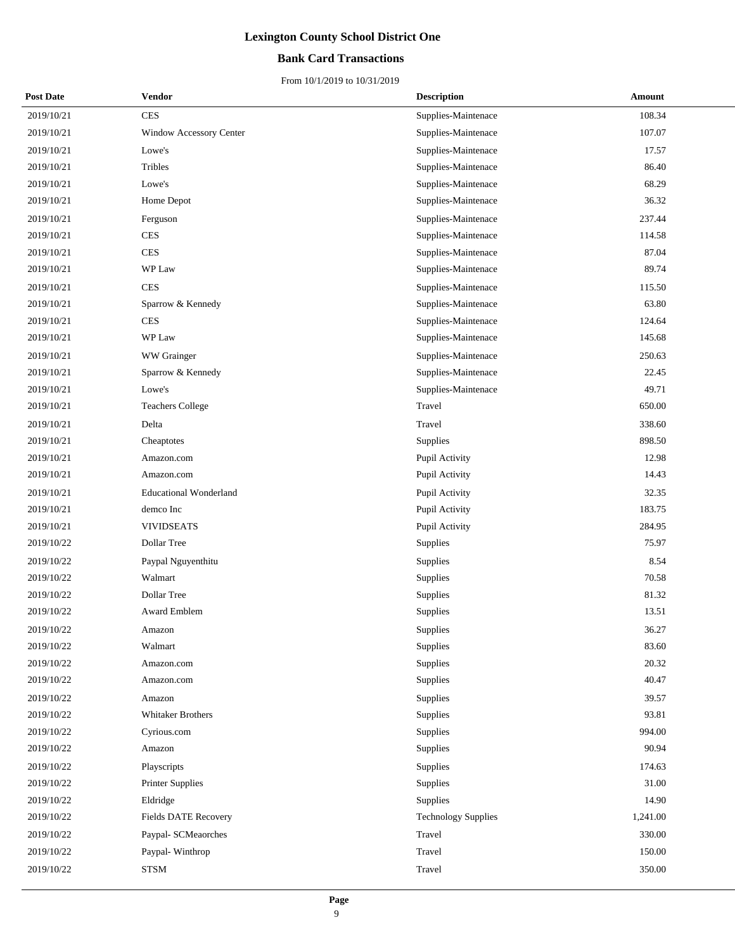## **Bank Card Transactions**

| <b>Post Date</b> | Vendor                         | <b>Description</b>         | Amount   |
|------------------|--------------------------------|----------------------------|----------|
| 2019/10/21       | <b>CES</b>                     | Supplies-Maintenace        | 108.34   |
| 2019/10/21       | <b>Window Accessory Center</b> | Supplies-Maintenace        | 107.07   |
| 2019/10/21       | Lowe's                         | Supplies-Maintenace        | 17.57    |
| 2019/10/21       | Tribles                        | Supplies-Maintenace        | 86.40    |
| 2019/10/21       | Lowe's                         | Supplies-Maintenace        | 68.29    |
| 2019/10/21       | Home Depot                     | Supplies-Maintenace        | 36.32    |
| 2019/10/21       | Ferguson                       | Supplies-Maintenace        | 237.44   |
| 2019/10/21       | <b>CES</b>                     | Supplies-Maintenace        | 114.58   |
| 2019/10/21       | <b>CES</b>                     | Supplies-Maintenace        | 87.04    |
| 2019/10/21       | WP Law                         | Supplies-Maintenace        | 89.74    |
| 2019/10/21       | <b>CES</b>                     | Supplies-Maintenace        | 115.50   |
| 2019/10/21       | Sparrow & Kennedy              | Supplies-Maintenace        | 63.80    |
| 2019/10/21       | <b>CES</b>                     | Supplies-Maintenace        | 124.64   |
| 2019/10/21       | WP Law                         | Supplies-Maintenace        | 145.68   |
| 2019/10/21       | WW Grainger                    | Supplies-Maintenace        | 250.63   |
| 2019/10/21       | Sparrow & Kennedy              | Supplies-Maintenace        | 22.45    |
| 2019/10/21       | Lowe's                         | Supplies-Maintenace        | 49.71    |
| 2019/10/21       | <b>Teachers College</b>        | Travel                     | 650.00   |
| 2019/10/21       | Delta                          | Travel                     | 338.60   |
| 2019/10/21       | Cheaptotes                     | Supplies                   | 898.50   |
| 2019/10/21       | Amazon.com                     | Pupil Activity             | 12.98    |
| 2019/10/21       | Amazon.com                     | Pupil Activity             | 14.43    |
| 2019/10/21       | <b>Educational Wonderland</b>  | Pupil Activity             | 32.35    |
| 2019/10/21       | demco Inc                      | Pupil Activity             | 183.75   |
| 2019/10/21       | <b>VIVIDSEATS</b>              | Pupil Activity             | 284.95   |
| 2019/10/22       | Dollar Tree                    | Supplies                   | 75.97    |
| 2019/10/22       | Paypal Nguyenthitu             | Supplies                   | 8.54     |
| 2019/10/22       | Walmart                        | Supplies                   | 70.58    |
| 2019/10/22       | Dollar Tree                    | Supplies                   | 81.32    |
| 2019/10/22       | Award Emblem                   | Supplies                   | 13.51    |
| 2019/10/22       | Amazon                         | Supplies                   | 36.27    |
| 2019/10/22       | Walmart                        | Supplies                   | 83.60    |
| 2019/10/22       | Amazon.com                     | Supplies                   | 20.32    |
| 2019/10/22       | Amazon.com                     | Supplies                   | 40.47    |
| 2019/10/22       | Amazon                         | Supplies                   | 39.57    |
| 2019/10/22       | <b>Whitaker Brothers</b>       | Supplies                   | 93.81    |
| 2019/10/22       | Cyrious.com                    | Supplies                   | 994.00   |
| 2019/10/22       | Amazon                         | Supplies                   | 90.94    |
| 2019/10/22       | Playscripts                    | Supplies                   | 174.63   |
| 2019/10/22       | <b>Printer Supplies</b>        | Supplies                   | 31.00    |
| 2019/10/22       | Eldridge                       | Supplies                   | 14.90    |
| 2019/10/22       | Fields DATE Recovery           | <b>Technology Supplies</b> | 1,241.00 |
| 2019/10/22       | Paypal- SCMeaorches            | Travel                     | 330.00   |
| 2019/10/22       | Paypal-Winthrop                | Travel                     | 150.00   |
| 2019/10/22       | <b>STSM</b>                    | Travel                     | 350.00   |
|                  |                                |                            |          |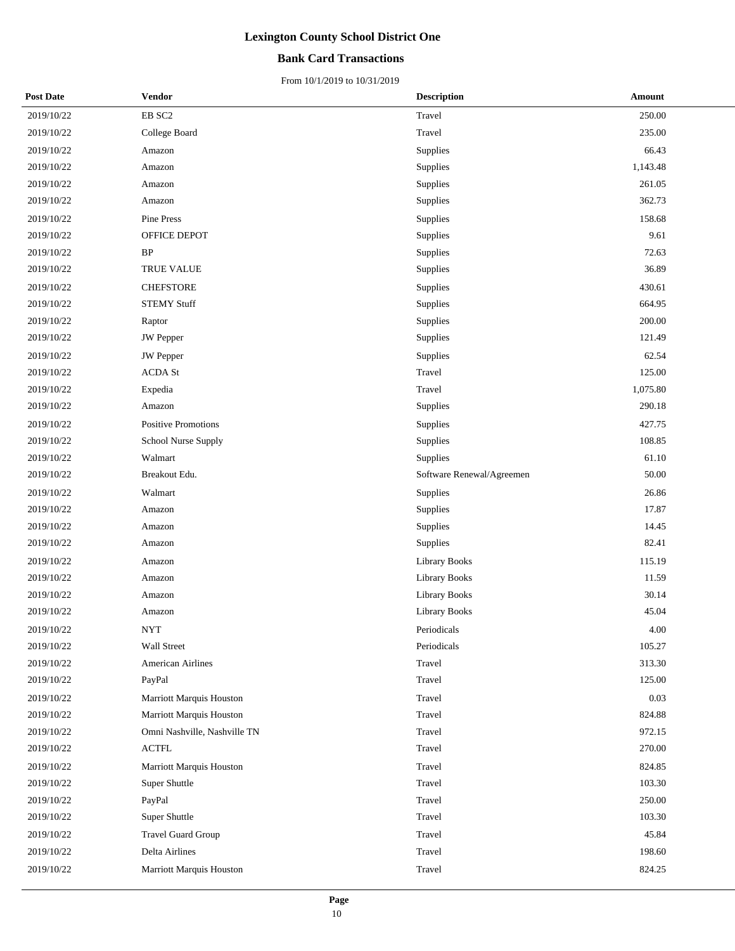### **Bank Card Transactions**

| <b>Post Date</b> | Vendor                       | <b>Description</b>        | Amount   |
|------------------|------------------------------|---------------------------|----------|
| 2019/10/22       | $\rm EB~SC2$                 | Travel                    | 250.00   |
| 2019/10/22       | College Board                | Travel                    | 235.00   |
| 2019/10/22       | Amazon                       | Supplies                  | 66.43    |
| 2019/10/22       | Amazon                       | Supplies                  | 1,143.48 |
| 2019/10/22       | Amazon                       | Supplies                  | 261.05   |
| 2019/10/22       | Amazon                       | Supplies                  | 362.73   |
| 2019/10/22       | Pine Press                   | Supplies                  | 158.68   |
| 2019/10/22       | OFFICE DEPOT                 | Supplies                  | 9.61     |
| 2019/10/22       | $\rm BP$                     | Supplies                  | 72.63    |
| 2019/10/22       | TRUE VALUE                   | Supplies                  | 36.89    |
| 2019/10/22       | <b>CHEFSTORE</b>             | Supplies                  | 430.61   |
| 2019/10/22       | <b>STEMY Stuff</b>           | Supplies                  | 664.95   |
| 2019/10/22       | Raptor                       | Supplies                  | 200.00   |
| 2019/10/22       | <b>JW</b> Pepper             | Supplies                  | 121.49   |
| 2019/10/22       | <b>JW</b> Pepper             | Supplies                  | 62.54    |
| 2019/10/22       | <b>ACDA St</b>               | Travel                    | 125.00   |
| 2019/10/22       | Expedia                      | Travel                    | 1,075.80 |
| 2019/10/22       | Amazon                       | Supplies                  | 290.18   |
| 2019/10/22       | Positive Promotions          | Supplies                  | 427.75   |
| 2019/10/22       | School Nurse Supply          | Supplies                  | 108.85   |
| 2019/10/22       | Walmart                      | Supplies                  | 61.10    |
| 2019/10/22       | Breakout Edu.                | Software Renewal/Agreemen | 50.00    |
| 2019/10/22       | Walmart                      | Supplies                  | 26.86    |
| 2019/10/22       | Amazon                       | Supplies                  | 17.87    |
| 2019/10/22       | Amazon                       | Supplies                  | 14.45    |
| 2019/10/22       | Amazon                       | Supplies                  | 82.41    |
| 2019/10/22       | Amazon                       | <b>Library Books</b>      | 115.19   |
| 2019/10/22       | Amazon                       | Library Books             | 11.59    |
| 2019/10/22       | Amazon                       | Library Books             | 30.14    |
| 2019/10/22       | Amazon                       | Library Books             | 45.04    |
| 2019/10/22       | NYT                          | Periodicals               | 4.00     |
| 2019/10/22       | Wall Street                  | Periodicals               | 105.27   |
| 2019/10/22       | <b>American Airlines</b>     | Travel                    | 313.30   |
| 2019/10/22       | PayPal                       | Travel                    | 125.00   |
| 2019/10/22       | Marriott Marquis Houston     | Travel                    | 0.03     |
| 2019/10/22       | Marriott Marquis Houston     | Travel                    | 824.88   |
| 2019/10/22       | Omni Nashville, Nashville TN | Travel                    | 972.15   |
| 2019/10/22       | <b>ACTFL</b>                 | Travel                    | 270.00   |
| 2019/10/22       | Marriott Marquis Houston     | Travel                    | 824.85   |
| 2019/10/22       | Super Shuttle                | Travel                    | 103.30   |
| 2019/10/22       | PayPal                       | Travel                    | 250.00   |
| 2019/10/22       | Super Shuttle                | Travel                    | 103.30   |
| 2019/10/22       | <b>Travel Guard Group</b>    | Travel                    | 45.84    |
| 2019/10/22       | Delta Airlines               | Travel                    | 198.60   |
| 2019/10/22       | Marriott Marquis Houston     | Travel                    | 824.25   |
|                  |                              |                           |          |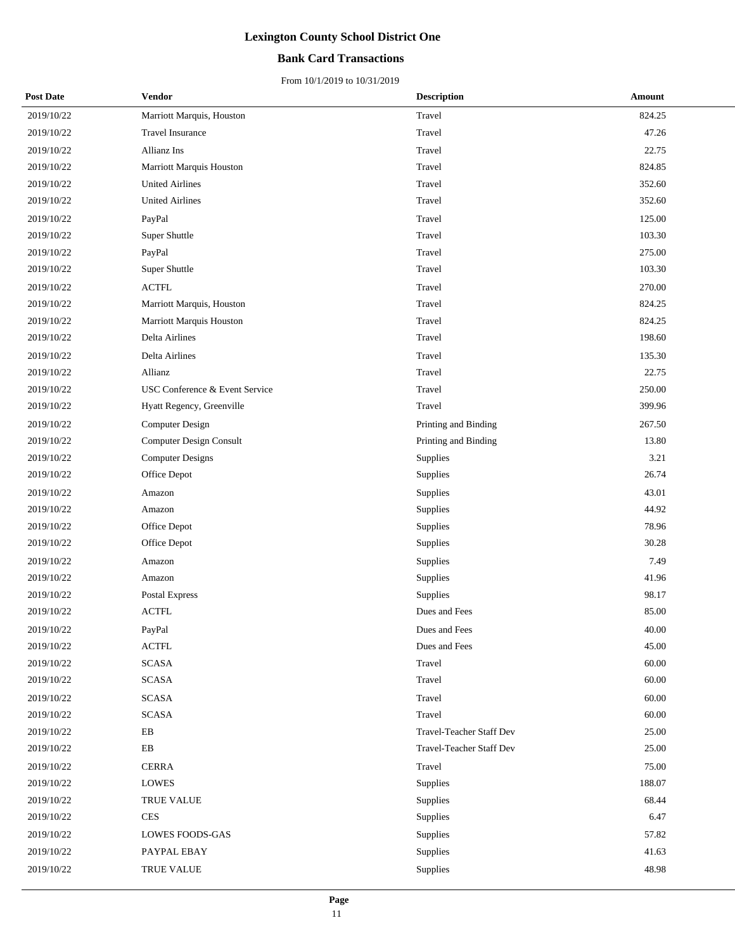### **Bank Card Transactions**

| <b>Post Date</b> | Vendor                         | <b>Description</b>              | Amount |
|------------------|--------------------------------|---------------------------------|--------|
| 2019/10/22       | Marriott Marquis, Houston      | Travel                          | 824.25 |
| 2019/10/22       | <b>Travel Insurance</b>        | Travel                          | 47.26  |
| 2019/10/22       | Allianz Ins                    | Travel                          | 22.75  |
| 2019/10/22       | Marriott Marquis Houston       | Travel                          | 824.85 |
| 2019/10/22       | <b>United Airlines</b>         | Travel                          | 352.60 |
| 2019/10/22       | <b>United Airlines</b>         | Travel                          | 352.60 |
| 2019/10/22       | PayPal                         | Travel                          | 125.00 |
| 2019/10/22       | Super Shuttle                  | Travel                          | 103.30 |
| 2019/10/22       | PayPal                         | Travel                          | 275.00 |
| 2019/10/22       | Super Shuttle                  | Travel                          | 103.30 |
| 2019/10/22       | <b>ACTFL</b>                   | Travel                          | 270.00 |
| 2019/10/22       | Marriott Marquis, Houston      | Travel                          | 824.25 |
| 2019/10/22       | Marriott Marquis Houston       | Travel                          | 824.25 |
| 2019/10/22       | Delta Airlines                 | Travel                          | 198.60 |
| 2019/10/22       | Delta Airlines                 | Travel                          | 135.30 |
| 2019/10/22       | Allianz                        | Travel                          | 22.75  |
| 2019/10/22       | USC Conference & Event Service | Travel                          | 250.00 |
| 2019/10/22       | Hyatt Regency, Greenville      | Travel                          | 399.96 |
| 2019/10/22       | Computer Design                | Printing and Binding            | 267.50 |
| 2019/10/22       | <b>Computer Design Consult</b> | Printing and Binding            | 13.80  |
| 2019/10/22       | <b>Computer Designs</b>        | Supplies                        | 3.21   |
| 2019/10/22       | Office Depot                   | Supplies                        | 26.74  |
| 2019/10/22       | Amazon                         | Supplies                        | 43.01  |
| 2019/10/22       | Amazon                         | Supplies                        | 44.92  |
| 2019/10/22       | Office Depot                   | Supplies                        | 78.96  |
| 2019/10/22       | Office Depot                   | Supplies                        | 30.28  |
| 2019/10/22       | Amazon                         | Supplies                        | 7.49   |
| 2019/10/22       | Amazon                         | Supplies                        | 41.96  |
| 2019/10/22       | Postal Express                 | Supplies                        | 98.17  |
| 2019/10/22       | <b>ACTFL</b>                   | Dues and Fees                   | 85.00  |
| 2019/10/22       | $\mbox{PayPal}$                | Dues and Fees                   | 40.00  |
| 2019/10/22       | <b>ACTFL</b>                   | Dues and Fees                   | 45.00  |
| 2019/10/22       | <b>SCASA</b>                   | Travel                          | 60.00  |
| 2019/10/22       | <b>SCASA</b>                   | Travel                          | 60.00  |
| 2019/10/22       | <b>SCASA</b>                   | Travel                          | 60.00  |
| 2019/10/22       | <b>SCASA</b>                   | Travel                          | 60.00  |
| 2019/10/22       | $\mathbf{E}\mathbf{B}$         | Travel-Teacher Staff Dev        | 25.00  |
| 2019/10/22       | ${\rm EB}$                     | <b>Travel-Teacher Staff Dev</b> | 25.00  |
| 2019/10/22       | <b>CERRA</b>                   | Travel                          | 75.00  |
| 2019/10/22       | <b>LOWES</b>                   | Supplies                        | 188.07 |
| 2019/10/22       | <b>TRUE VALUE</b>              | Supplies                        | 68.44  |
| 2019/10/22       | <b>CES</b>                     | Supplies                        | 6.47   |
| 2019/10/22       | LOWES FOODS-GAS                | Supplies                        | 57.82  |
| 2019/10/22       | PAYPAL EBAY                    | Supplies                        | 41.63  |
| 2019/10/22       | TRUE VALUE                     | Supplies                        | 48.98  |
|                  |                                |                                 |        |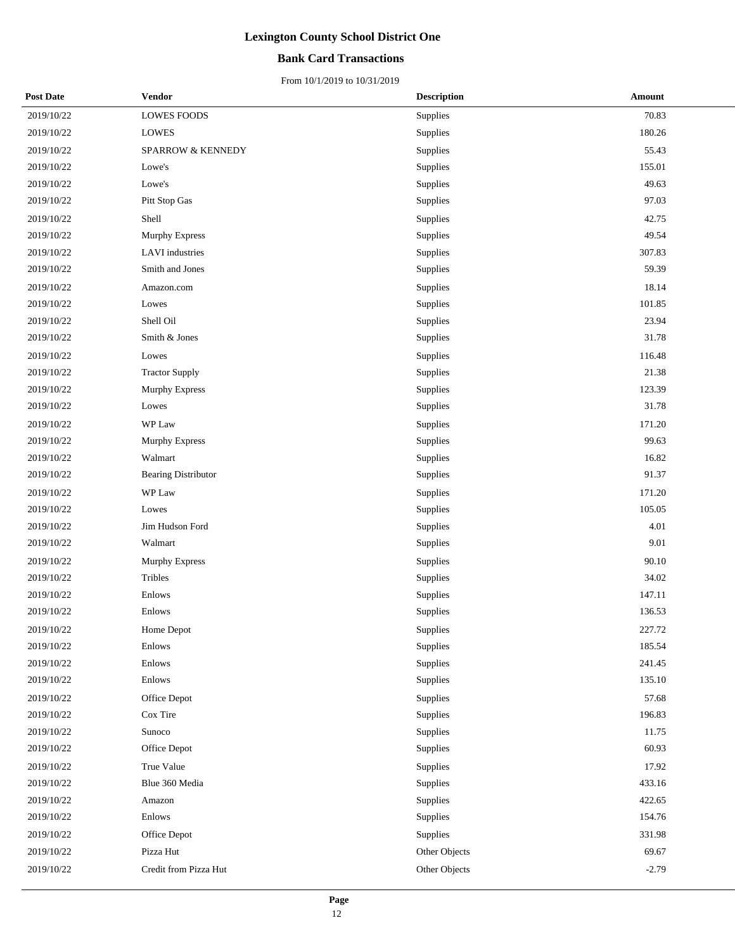### **Bank Card Transactions**

| <b>Post Date</b> | Vendor                 | <b>Description</b> | Amount  |
|------------------|------------------------|--------------------|---------|
| 2019/10/22       | <b>LOWES FOODS</b>     | Supplies           | 70.83   |
| 2019/10/22       | <b>LOWES</b>           | Supplies           | 180.26  |
| 2019/10/22       | SPARROW & KENNEDY      | Supplies           | 55.43   |
| 2019/10/22       | Lowe's                 | Supplies           | 155.01  |
| 2019/10/22       | Lowe's                 | Supplies           | 49.63   |
| 2019/10/22       | Pitt Stop Gas          | Supplies           | 97.03   |
| 2019/10/22       | Shell                  | Supplies           | 42.75   |
| 2019/10/22       | Murphy Express         | Supplies           | 49.54   |
| 2019/10/22       | <b>LAVI</b> industries | Supplies           | 307.83  |
| 2019/10/22       | Smith and Jones        | Supplies           | 59.39   |
| 2019/10/22       | Amazon.com             | Supplies           | 18.14   |
| 2019/10/22       | Lowes                  | Supplies           | 101.85  |
| 2019/10/22       | Shell Oil              | Supplies           | 23.94   |
| 2019/10/22       | Smith & Jones          | Supplies           | 31.78   |
| 2019/10/22       | Lowes                  | Supplies           | 116.48  |
| 2019/10/22       | <b>Tractor Supply</b>  | Supplies           | 21.38   |
| 2019/10/22       | Murphy Express         | Supplies           | 123.39  |
| 2019/10/22       | Lowes                  | Supplies           | 31.78   |
| 2019/10/22       | WP Law                 | Supplies           | 171.20  |
| 2019/10/22       | Murphy Express         | Supplies           | 99.63   |
| 2019/10/22       | Walmart                | Supplies           | 16.82   |
| 2019/10/22       | Bearing Distributor    | Supplies           | 91.37   |
| 2019/10/22       | WP Law                 | Supplies           | 171.20  |
| 2019/10/22       | Lowes                  | Supplies           | 105.05  |
| 2019/10/22       | Jim Hudson Ford        | Supplies           | 4.01    |
| 2019/10/22       | Walmart                | Supplies           | 9.01    |
| 2019/10/22       | <b>Murphy Express</b>  | Supplies           | 90.10   |
| 2019/10/22       | Tribles                | Supplies           | 34.02   |
| 2019/10/22       | Enlows                 | Supplies           | 147.11  |
| 2019/10/22       | Enlows                 | Supplies           | 136.53  |
| 2019/10/22       | Home Depot             | Supplies           | 227.72  |
| 2019/10/22       | Enlows                 | Supplies           | 185.54  |
| 2019/10/22       | Enlows                 | Supplies           | 241.45  |
| 2019/10/22       | Enlows                 | Supplies           | 135.10  |
| 2019/10/22       | Office Depot           | Supplies           | 57.68   |
| 2019/10/22       | Cox Tire               | Supplies           | 196.83  |
| 2019/10/22       | Sunoco                 | Supplies           | 11.75   |
| 2019/10/22       | Office Depot           | Supplies           | 60.93   |
| 2019/10/22       | True Value             | Supplies           | 17.92   |
| 2019/10/22       | Blue 360 Media         | Supplies           | 433.16  |
| 2019/10/22       | Amazon                 | Supplies           | 422.65  |
| 2019/10/22       | Enlows                 | Supplies           | 154.76  |
| 2019/10/22       | Office Depot           | Supplies           | 331.98  |
| 2019/10/22       | Pizza Hut              | Other Objects      | 69.67   |
| 2019/10/22       | Credit from Pizza Hut  | Other Objects      | $-2.79$ |
|                  |                        |                    |         |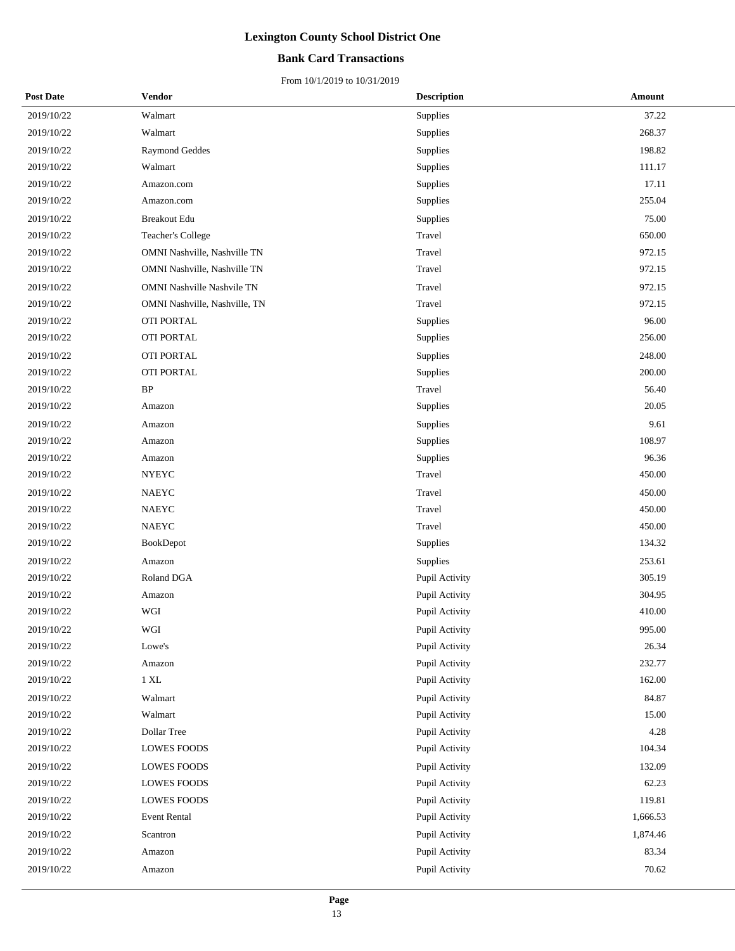## **Bank Card Transactions**

| <b>Post Date</b> | <b>Vendor</b>                     | <b>Description</b> | Amount   |
|------------------|-----------------------------------|--------------------|----------|
| 2019/10/22       | Walmart                           | Supplies           | 37.22    |
| 2019/10/22       | Walmart                           | Supplies           | 268.37   |
| 2019/10/22       | <b>Raymond Geddes</b>             | Supplies           | 198.82   |
| 2019/10/22       | Walmart                           | Supplies           | 111.17   |
| 2019/10/22       | Amazon.com                        | Supplies           | 17.11    |
| 2019/10/22       | Amazon.com                        | Supplies           | 255.04   |
| 2019/10/22       | <b>Breakout Edu</b>               | Supplies           | 75.00    |
| 2019/10/22       | Teacher's College                 | Travel             | 650.00   |
| 2019/10/22       | OMNI Nashville, Nashville TN      | Travel             | 972.15   |
| 2019/10/22       | OMNI Nashville, Nashville TN      | Travel             | 972.15   |
| 2019/10/22       | <b>OMNI Nashville Nashvile TN</b> | Travel             | 972.15   |
| 2019/10/22       | OMNI Nashville, Nashville, TN     | Travel             | 972.15   |
| 2019/10/22       | OTI PORTAL                        | Supplies           | 96.00    |
| 2019/10/22       | OTI PORTAL                        | Supplies           | 256.00   |
| 2019/10/22       | OTI PORTAL                        | Supplies           | 248.00   |
| 2019/10/22       | OTI PORTAL                        | Supplies           | 200.00   |
| 2019/10/22       | $\rm BP$                          | Travel             | 56.40    |
| 2019/10/22       | Amazon                            | Supplies           | 20.05    |
| 2019/10/22       | Amazon                            | Supplies           | 9.61     |
| 2019/10/22       | Amazon                            | Supplies           | 108.97   |
| 2019/10/22       | Amazon                            | Supplies           | 96.36    |
| 2019/10/22       | <b>NYEYC</b>                      | Travel             | 450.00   |
| 2019/10/22       | <b>NAEYC</b>                      | Travel             | 450.00   |
| 2019/10/22       | <b>NAEYC</b>                      | Travel             | 450.00   |
| 2019/10/22       | NAEYC                             | Travel             | 450.00   |
| 2019/10/22       | BookDepot                         | Supplies           | 134.32   |
| 2019/10/22       | Amazon                            | Supplies           | 253.61   |
| 2019/10/22       | Roland DGA                        | Pupil Activity     | 305.19   |
| 2019/10/22       | Amazon                            | Pupil Activity     | 304.95   |
| 2019/10/22       | WGI                               | Pupil Activity     | 410.00   |
| 2019/10/22       | WGI                               | Pupil Activity     | 995.00   |
| 2019/10/22       | Lowe's                            | Pupil Activity     | 26.34    |
| 2019/10/22       | Amazon                            | Pupil Activity     | 232.77   |
| 2019/10/22       | $1\ \rm{XL}$                      | Pupil Activity     | 162.00   |
| 2019/10/22       | Walmart                           | Pupil Activity     | 84.87    |
| 2019/10/22       | Walmart                           | Pupil Activity     | 15.00    |
| 2019/10/22       | Dollar Tree                       | Pupil Activity     | 4.28     |
| 2019/10/22       | <b>LOWES FOODS</b>                | Pupil Activity     | 104.34   |
| 2019/10/22       | <b>LOWES FOODS</b>                | Pupil Activity     | 132.09   |
| 2019/10/22       | <b>LOWES FOODS</b>                | Pupil Activity     | 62.23    |
| 2019/10/22       | <b>LOWES FOODS</b>                | Pupil Activity     | 119.81   |
| 2019/10/22       | <b>Event Rental</b>               | Pupil Activity     | 1,666.53 |
| 2019/10/22       | Scantron                          | Pupil Activity     | 1,874.46 |
| 2019/10/22       | Amazon                            | Pupil Activity     | 83.34    |
| 2019/10/22       | Amazon                            | Pupil Activity     | 70.62    |
|                  |                                   |                    |          |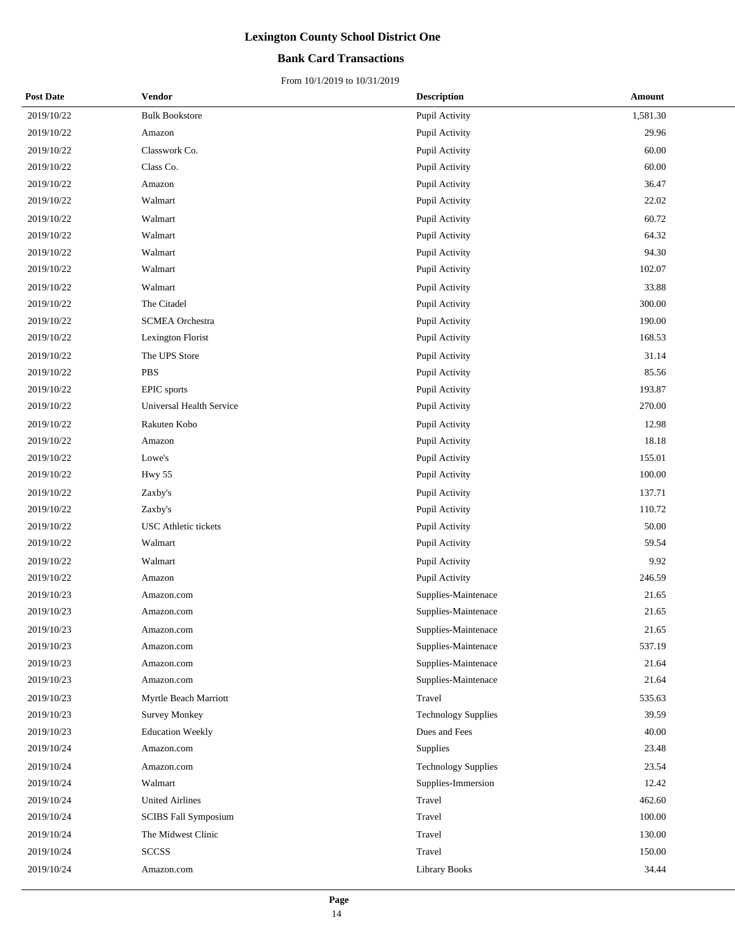## **Bank Card Transactions**

| <b>Post Date</b> | Vendor                      | <b>Description</b>         | <b>Amount</b> |
|------------------|-----------------------------|----------------------------|---------------|
| 2019/10/22       | <b>Bulk Bookstore</b>       | Pupil Activity             | 1,581.30      |
| 2019/10/22       | Amazon                      | Pupil Activity             | 29.96         |
| 2019/10/22       | Classwork Co.               | Pupil Activity             | 60.00         |
| 2019/10/22       | Class Co.                   | Pupil Activity             | 60.00         |
| 2019/10/22       | Amazon                      | Pupil Activity             | 36.47         |
| 2019/10/22       | Walmart                     | Pupil Activity             | 22.02         |
| 2019/10/22       | Walmart                     | Pupil Activity             | 60.72         |
| 2019/10/22       | Walmart                     | Pupil Activity             | 64.32         |
| 2019/10/22       | Walmart                     | Pupil Activity             | 94.30         |
| 2019/10/22       | Walmart                     | Pupil Activity             | 102.07        |
| 2019/10/22       | Walmart                     | Pupil Activity             | 33.88         |
| 2019/10/22       | The Citadel                 | Pupil Activity             | 300.00        |
| 2019/10/22       | <b>SCMEA</b> Orchestra      | Pupil Activity             | 190.00        |
| 2019/10/22       | Lexington Florist           | Pupil Activity             | 168.53        |
| 2019/10/22       | The UPS Store               | Pupil Activity             | 31.14         |
| 2019/10/22       | <b>PBS</b>                  | Pupil Activity             | 85.56         |
| 2019/10/22       | <b>EPIC</b> sports          | Pupil Activity             | 193.87        |
| 2019/10/22       | Universal Health Service    | Pupil Activity             | 270.00        |
| 2019/10/22       | Rakuten Kobo                | Pupil Activity             | 12.98         |
| 2019/10/22       | Amazon                      | Pupil Activity             | 18.18         |
| 2019/10/22       | Lowe's                      | Pupil Activity             | 155.01        |
| 2019/10/22       | <b>Hwy 55</b>               | Pupil Activity             | 100.00        |
| 2019/10/22       | Zaxby's                     | Pupil Activity             | 137.71        |
| 2019/10/22       | Zaxby's                     | Pupil Activity             | 110.72        |
| 2019/10/22       | <b>USC</b> Athletic tickets | Pupil Activity             | 50.00         |
| 2019/10/22       | Walmart                     | Pupil Activity             | 59.54         |
| 2019/10/22       | Walmart                     | Pupil Activity             | 9.92          |
| 2019/10/22       | Amazon                      | Pupil Activity             | 246.59        |
| 2019/10/23       | Amazon.com                  | Supplies-Maintenace        | 21.65         |
| 2019/10/23       | Amazon.com                  | Supplies-Maintenace        | 21.65         |
| 2019/10/23       | Amazon.com                  | Supplies-Maintenace        | 21.65         |
| 2019/10/23       | Amazon.com                  | Supplies-Maintenace        | 537.19        |
| 2019/10/23       | Amazon.com                  | Supplies-Maintenace        | 21.64         |
| 2019/10/23       | Amazon.com                  | Supplies-Maintenace        | 21.64         |
| 2019/10/23       | Myrtle Beach Marriott       | Travel                     | 535.63        |
| 2019/10/23       | <b>Survey Monkey</b>        | <b>Technology Supplies</b> | 39.59         |
| 2019/10/23       | <b>Education Weekly</b>     | Dues and Fees              | 40.00         |
| 2019/10/24       | Amazon.com                  | Supplies                   | 23.48         |
| 2019/10/24       | Amazon.com                  | <b>Technology Supplies</b> | 23.54         |
| 2019/10/24       | Walmart                     | Supplies-Immersion         | 12.42         |
| 2019/10/24       | <b>United Airlines</b>      | Travel                     | 462.60        |
| 2019/10/24       | <b>SCIBS Fall Symposium</b> | Travel                     | 100.00        |
| 2019/10/24       | The Midwest Clinic          | Travel                     | 130.00        |
| 2019/10/24       | <b>SCCSS</b>                | Travel                     | 150.00        |
| 2019/10/24       | Amazon.com                  | <b>Library Books</b>       | 34.44         |
|                  |                             |                            |               |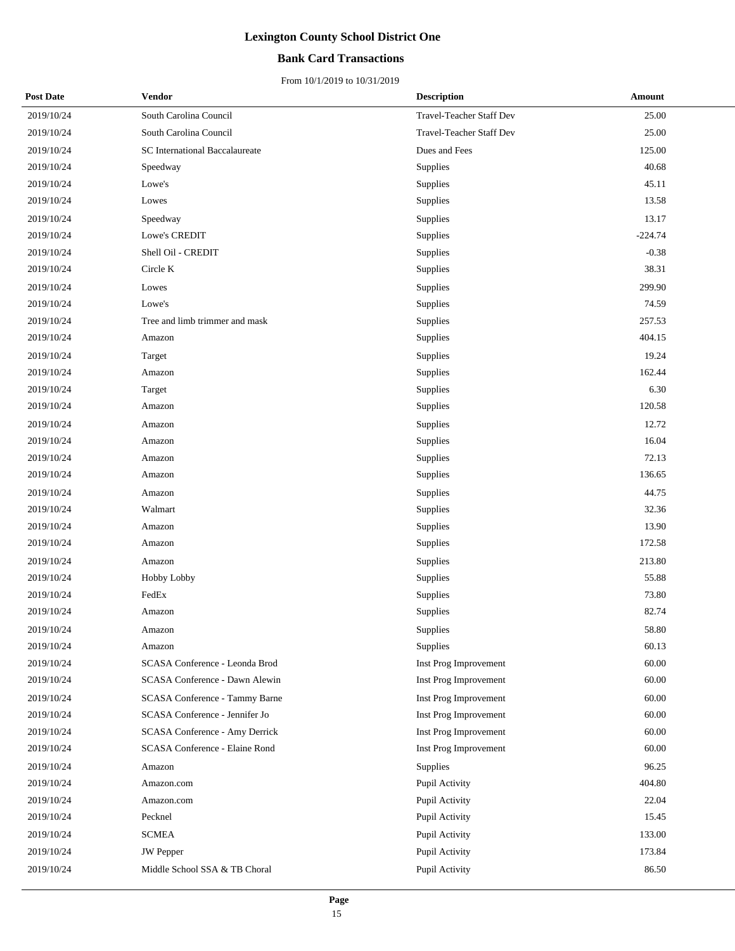## **Bank Card Transactions**

| <b>Post Date</b> | Vendor                                | <b>Description</b>       | Amount    |
|------------------|---------------------------------------|--------------------------|-----------|
| 2019/10/24       | South Carolina Council                | Travel-Teacher Staff Dev | 25.00     |
| 2019/10/24       | South Carolina Council                | Travel-Teacher Staff Dev | 25.00     |
| 2019/10/24       | <b>SC</b> International Baccalaureate | Dues and Fees            | 125.00    |
| 2019/10/24       | Speedway                              | Supplies                 | 40.68     |
| 2019/10/24       | Lowe's                                | Supplies                 | 45.11     |
| 2019/10/24       | Lowes                                 | Supplies                 | 13.58     |
| 2019/10/24       | Speedway                              | Supplies                 | 13.17     |
| 2019/10/24       | Lowe's CREDIT                         | Supplies                 | $-224.74$ |
| 2019/10/24       | Shell Oil - CREDIT                    | Supplies                 | $-0.38$   |
| 2019/10/24       | Circle K                              | Supplies                 | 38.31     |
| 2019/10/24       | Lowes                                 | Supplies                 | 299.90    |
| 2019/10/24       | Lowe's                                | Supplies                 | 74.59     |
| 2019/10/24       | Tree and limb trimmer and mask        | Supplies                 | 257.53    |
| 2019/10/24       | Amazon                                | Supplies                 | 404.15    |
| 2019/10/24       | Target                                | Supplies                 | 19.24     |
| 2019/10/24       | Amazon                                | Supplies                 | 162.44    |
| 2019/10/24       | Target                                | Supplies                 | 6.30      |
| 2019/10/24       | Amazon                                | Supplies                 | 120.58    |
| 2019/10/24       | Amazon                                | Supplies                 | 12.72     |
| 2019/10/24       | Amazon                                | Supplies                 | 16.04     |
| 2019/10/24       | Amazon                                | Supplies                 | 72.13     |
| 2019/10/24       | Amazon                                | Supplies                 | 136.65    |
| 2019/10/24       | Amazon                                | Supplies                 | 44.75     |
| 2019/10/24       | Walmart                               | Supplies                 | 32.36     |
| 2019/10/24       | Amazon                                | Supplies                 | 13.90     |
| 2019/10/24       | Amazon                                | Supplies                 | 172.58    |
| 2019/10/24       | Amazon                                | Supplies                 | 213.80    |
| 2019/10/24       | Hobby Lobby                           | Supplies                 | 55.88     |
| 2019/10/24       | FedEx                                 | Supplies                 | 73.80     |
| 2019/10/24       | Amazon                                | Supplies                 | 82.74     |
| 2019/10/24       | Amazon                                | Supplies                 | 58.80     |
| 2019/10/24       | Amazon                                | Supplies                 | 60.13     |
| 2019/10/24       | SCASA Conference - Leonda Brod        | Inst Prog Improvement    | 60.00     |
| 2019/10/24       | SCASA Conference - Dawn Alewin        | Inst Prog Improvement    | 60.00     |
| 2019/10/24       | SCASA Conference - Tammy Barne        | Inst Prog Improvement    | 60.00     |
| 2019/10/24       | SCASA Conference - Jennifer Jo        | Inst Prog Improvement    | 60.00     |
| 2019/10/24       | SCASA Conference - Amy Derrick        | Inst Prog Improvement    | 60.00     |
| 2019/10/24       | SCASA Conference - Elaine Rond        | Inst Prog Improvement    | 60.00     |
| 2019/10/24       | Amazon                                | <b>Supplies</b>          | 96.25     |
| 2019/10/24       | Amazon.com                            | Pupil Activity           | 404.80    |
| 2019/10/24       | Amazon.com                            | Pupil Activity           | 22.04     |
| 2019/10/24       | Pecknel                               | Pupil Activity           | 15.45     |
| 2019/10/24       | SCMEA                                 | Pupil Activity           | 133.00    |
| 2019/10/24       | JW Pepper                             | Pupil Activity           | 173.84    |
| 2019/10/24       | Middle School SSA & TB Choral         | Pupil Activity           | 86.50     |
|                  |                                       |                          |           |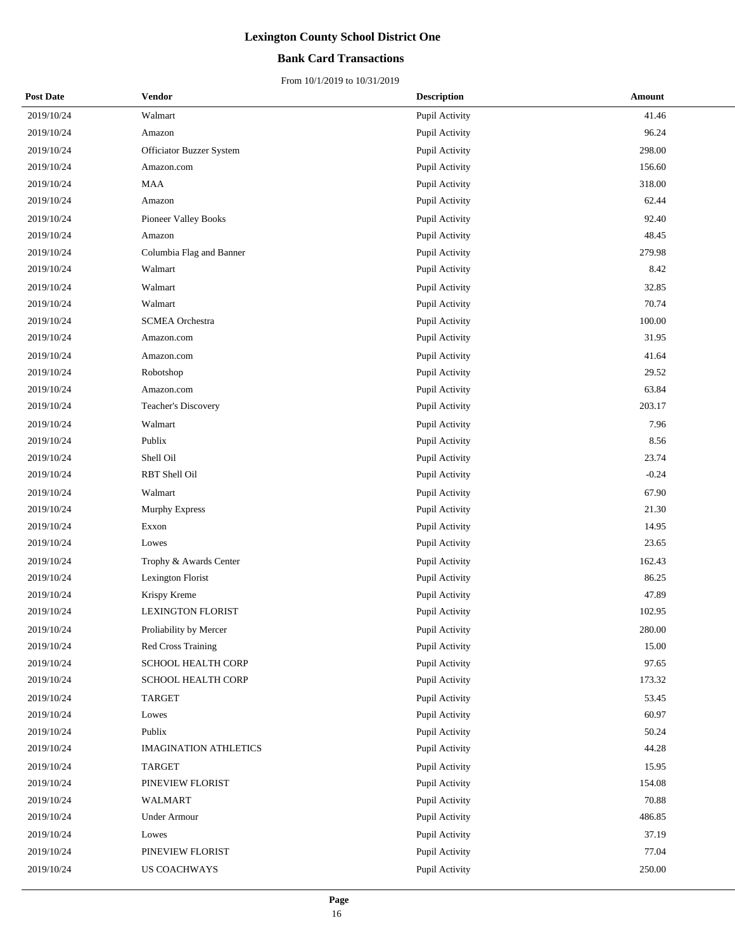## **Bank Card Transactions**

| <b>Post Date</b> | Vendor                       | <b>Description</b> | Amount  |
|------------------|------------------------------|--------------------|---------|
| 2019/10/24       | Walmart                      | Pupil Activity     | 41.46   |
| 2019/10/24       | Amazon                       | Pupil Activity     | 96.24   |
| 2019/10/24       | Officiator Buzzer System     | Pupil Activity     | 298.00  |
| 2019/10/24       | Amazon.com                   | Pupil Activity     | 156.60  |
| 2019/10/24       | <b>MAA</b>                   | Pupil Activity     | 318.00  |
| 2019/10/24       | Amazon                       | Pupil Activity     | 62.44   |
| 2019/10/24       | Pioneer Valley Books         | Pupil Activity     | 92.40   |
| 2019/10/24       | Amazon                       | Pupil Activity     | 48.45   |
| 2019/10/24       | Columbia Flag and Banner     | Pupil Activity     | 279.98  |
| 2019/10/24       | Walmart                      | Pupil Activity     | 8.42    |
| 2019/10/24       | Walmart                      | Pupil Activity     | 32.85   |
| 2019/10/24       | Walmart                      | Pupil Activity     | 70.74   |
| 2019/10/24       | <b>SCMEA</b> Orchestra       | Pupil Activity     | 100.00  |
| 2019/10/24       | Amazon.com                   | Pupil Activity     | 31.95   |
| 2019/10/24       | Amazon.com                   | Pupil Activity     | 41.64   |
| 2019/10/24       | Robotshop                    | Pupil Activity     | 29.52   |
| 2019/10/24       | Amazon.com                   | Pupil Activity     | 63.84   |
| 2019/10/24       | Teacher's Discovery          | Pupil Activity     | 203.17  |
| 2019/10/24       | Walmart                      | Pupil Activity     | 7.96    |
| 2019/10/24       | Publix                       | Pupil Activity     | 8.56    |
| 2019/10/24       | Shell Oil                    | Pupil Activity     | 23.74   |
| 2019/10/24       | RBT Shell Oil                | Pupil Activity     | $-0.24$ |
| 2019/10/24       | Walmart                      | Pupil Activity     | 67.90   |
| 2019/10/24       | Murphy Express               | Pupil Activity     | 21.30   |
| 2019/10/24       | Exxon                        | Pupil Activity     | 14.95   |
| 2019/10/24       | Lowes                        | Pupil Activity     | 23.65   |
| 2019/10/24       | Trophy & Awards Center       | Pupil Activity     | 162.43  |
| 2019/10/24       | Lexington Florist            | Pupil Activity     | 86.25   |
| 2019/10/24       | Krispy Kreme                 | Pupil Activity     | 47.89   |
| 2019/10/24       | <b>LEXINGTON FLORIST</b>     | Pupil Activity     | 102.95  |
| 2019/10/24       | Proliability by Mercer       | Pupil Activity     | 280.00  |
| 2019/10/24       | Red Cross Training           | Pupil Activity     | 15.00   |
| 2019/10/24       | SCHOOL HEALTH CORP           | Pupil Activity     | 97.65   |
| 2019/10/24       | SCHOOL HEALTH CORP           | Pupil Activity     | 173.32  |
| 2019/10/24       | <b>TARGET</b>                | Pupil Activity     | 53.45   |
| 2019/10/24       | Lowes                        | Pupil Activity     | 60.97   |
| 2019/10/24       | Publix                       | Pupil Activity     | 50.24   |
| 2019/10/24       | <b>IMAGINATION ATHLETICS</b> | Pupil Activity     | 44.28   |
| 2019/10/24       | <b>TARGET</b>                | Pupil Activity     | 15.95   |
| 2019/10/24       | PINEVIEW FLORIST             | Pupil Activity     | 154.08  |
| 2019/10/24       | WALMART                      | Pupil Activity     | 70.88   |
| 2019/10/24       | <b>Under Armour</b>          | Pupil Activity     | 486.85  |
| 2019/10/24       | Lowes                        | Pupil Activity     | 37.19   |
| 2019/10/24       | PINEVIEW FLORIST             | Pupil Activity     | 77.04   |
| 2019/10/24       | <b>US COACHWAYS</b>          | Pupil Activity     | 250.00  |
|                  |                              |                    |         |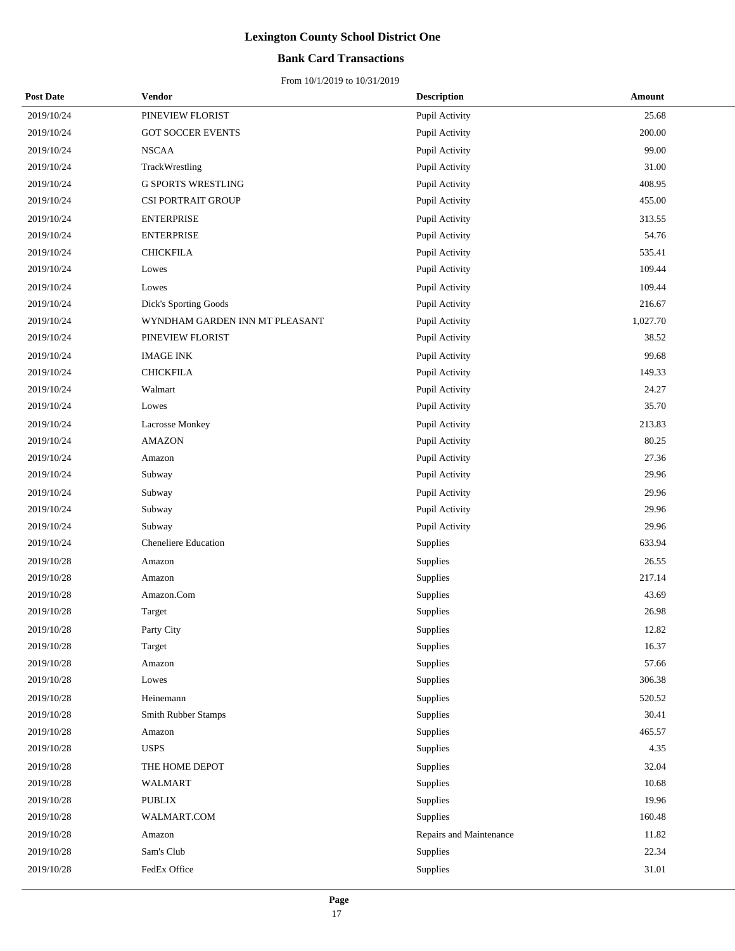## **Bank Card Transactions**

| <b>Post Date</b> | Vendor                         | <b>Description</b>      | Amount   |
|------------------|--------------------------------|-------------------------|----------|
| 2019/10/24       | PINEVIEW FLORIST               | Pupil Activity          | 25.68    |
| 2019/10/24       | <b>GOT SOCCER EVENTS</b>       | Pupil Activity          | 200.00   |
| 2019/10/24       | <b>NSCAA</b>                   | Pupil Activity          | 99.00    |
| 2019/10/24       | TrackWrestling                 | Pupil Activity          | 31.00    |
| 2019/10/24       | <b>G SPORTS WRESTLING</b>      | Pupil Activity          | 408.95   |
| 2019/10/24       | CSI PORTRAIT GROUP             | Pupil Activity          | 455.00   |
| 2019/10/24       | <b>ENTERPRISE</b>              | Pupil Activity          | 313.55   |
| 2019/10/24       | <b>ENTERPRISE</b>              | Pupil Activity          | 54.76    |
| 2019/10/24       | <b>CHICKFILA</b>               | Pupil Activity          | 535.41   |
| 2019/10/24       | Lowes                          | Pupil Activity          | 109.44   |
| 2019/10/24       | Lowes                          | Pupil Activity          | 109.44   |
| 2019/10/24       | Dick's Sporting Goods          | Pupil Activity          | 216.67   |
| 2019/10/24       | WYNDHAM GARDEN INN MT PLEASANT | Pupil Activity          | 1,027.70 |
| 2019/10/24       | PINEVIEW FLORIST               | Pupil Activity          | 38.52    |
| 2019/10/24       | <b>IMAGE INK</b>               | Pupil Activity          | 99.68    |
| 2019/10/24       | <b>CHICKFILA</b>               | Pupil Activity          | 149.33   |
| 2019/10/24       | Walmart                        | Pupil Activity          | 24.27    |
| 2019/10/24       | Lowes                          | Pupil Activity          | 35.70    |
| 2019/10/24       | <b>Lacrosse Monkey</b>         | Pupil Activity          | 213.83   |
| 2019/10/24       | <b>AMAZON</b>                  | Pupil Activity          | 80.25    |
| 2019/10/24       | Amazon                         | Pupil Activity          | 27.36    |
| 2019/10/24       | Subway                         | Pupil Activity          | 29.96    |
| 2019/10/24       | Subway                         | Pupil Activity          | 29.96    |
| 2019/10/24       | Subway                         | Pupil Activity          | 29.96    |
| 2019/10/24       | Subway                         | Pupil Activity          | 29.96    |
| 2019/10/24       | <b>Cheneliere Education</b>    | Supplies                | 633.94   |
| 2019/10/28       | Amazon                         | Supplies                | 26.55    |
| 2019/10/28       | Amazon                         | Supplies                | 217.14   |
| 2019/10/28       | Amazon.Com                     | Supplies                | 43.69    |
| 2019/10/28       | Target                         | Supplies                | 26.98    |
| 2019/10/28       | Party City                     | Supplies                | 12.82    |
| 2019/10/28       | Target                         | Supplies                | 16.37    |
| 2019/10/28       | Amazon                         | Supplies                | 57.66    |
| 2019/10/28       | Lowes                          | Supplies                | 306.38   |
| 2019/10/28       | Heinemann                      | Supplies                | 520.52   |
| 2019/10/28       | Smith Rubber Stamps            | Supplies                | 30.41    |
| 2019/10/28       | Amazon                         | Supplies                | 465.57   |
| 2019/10/28       | <b>USPS</b>                    | Supplies                | 4.35     |
| 2019/10/28       | THE HOME DEPOT                 | Supplies                | 32.04    |
| 2019/10/28       | WALMART                        | Supplies                | 10.68    |
| 2019/10/28       | <b>PUBLIX</b>                  | Supplies                | 19.96    |
| 2019/10/28       | WALMART.COM                    | Supplies                | 160.48   |
| 2019/10/28       | Amazon                         | Repairs and Maintenance | 11.82    |
| 2019/10/28       | Sam's Club                     | Supplies                | 22.34    |
| 2019/10/28       | FedEx Office                   | Supplies                | 31.01    |
|                  |                                |                         |          |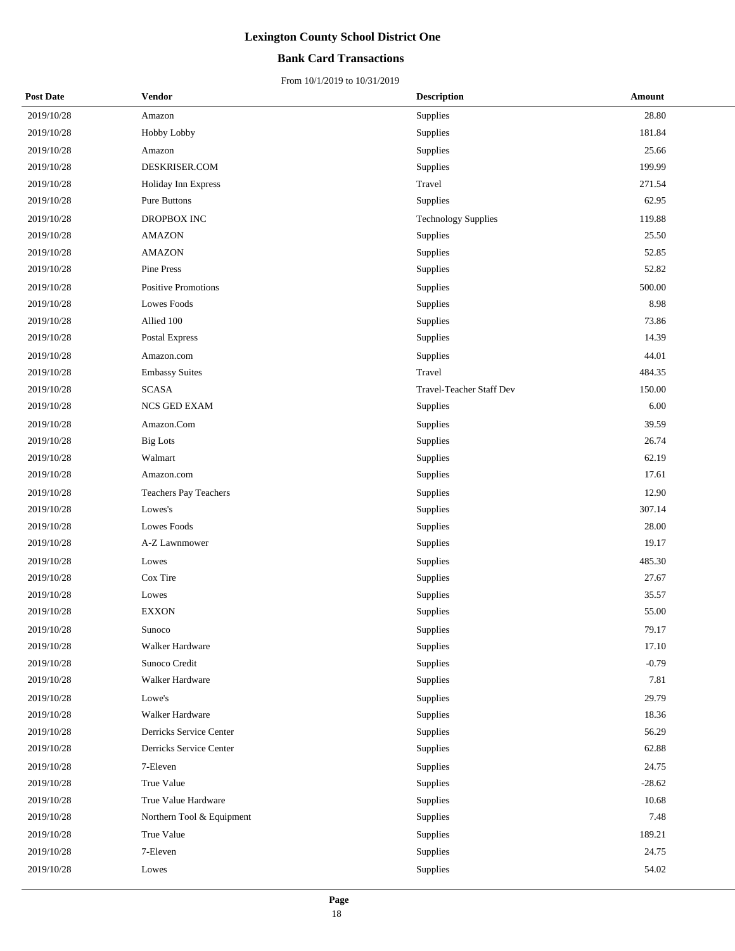## **Bank Card Transactions**

| <b>Post Date</b> | Vendor                     | <b>Description</b>         | Amount   |
|------------------|----------------------------|----------------------------|----------|
| 2019/10/28       | Amazon                     | Supplies                   | 28.80    |
| 2019/10/28       | Hobby Lobby                | Supplies                   | 181.84   |
| 2019/10/28       | Amazon                     | Supplies                   | 25.66    |
| 2019/10/28       | DESKRISER.COM              | Supplies                   | 199.99   |
| 2019/10/28       | Holiday Inn Express        | Travel                     | 271.54   |
| 2019/10/28       | Pure Buttons               | Supplies                   | 62.95    |
| 2019/10/28       | DROPBOX INC                | <b>Technology Supplies</b> | 119.88   |
| 2019/10/28       | <b>AMAZON</b>              | Supplies                   | 25.50    |
| 2019/10/28       | <b>AMAZON</b>              | Supplies                   | 52.85    |
| 2019/10/28       | Pine Press                 | Supplies                   | 52.82    |
| 2019/10/28       | <b>Positive Promotions</b> | Supplies                   | 500.00   |
| 2019/10/28       | Lowes Foods                | Supplies                   | 8.98     |
| 2019/10/28       | Allied 100                 | Supplies                   | 73.86    |
| 2019/10/28       | Postal Express             | Supplies                   | 14.39    |
| 2019/10/28       | Amazon.com                 | Supplies                   | 44.01    |
| 2019/10/28       | <b>Embassy Suites</b>      | Travel                     | 484.35   |
| 2019/10/28       | <b>SCASA</b>               | Travel-Teacher Staff Dev   | 150.00   |
| 2019/10/28       | NCS GED EXAM               | Supplies                   | 6.00     |
| 2019/10/28       | Amazon.Com                 | Supplies                   | 39.59    |
| 2019/10/28       | <b>Big Lots</b>            | Supplies                   | 26.74    |
| 2019/10/28       | Walmart                    | Supplies                   | 62.19    |
| 2019/10/28       | Amazon.com                 | Supplies                   | 17.61    |
| 2019/10/28       | Teachers Pay Teachers      | Supplies                   | 12.90    |
| 2019/10/28       | Lowes's                    | Supplies                   | 307.14   |
| 2019/10/28       | Lowes Foods                | Supplies                   | 28.00    |
| 2019/10/28       | A-Z Lawnmower              | Supplies                   | 19.17    |
| 2019/10/28       | Lowes                      | Supplies                   | 485.30   |
| 2019/10/28       | Cox Tire                   | Supplies                   | 27.67    |
| 2019/10/28       | Lowes                      | Supplies                   | 35.57    |
| 2019/10/28       | <b>EXXON</b>               | Supplies                   | 55.00    |
| 2019/10/28       | Sunoco                     | Supplies                   | 79.17    |
| 2019/10/28       | Walker Hardware            | Supplies                   | 17.10    |
| 2019/10/28       | Sunoco Credit              | Supplies                   | $-0.79$  |
| 2019/10/28       | Walker Hardware            | Supplies                   | 7.81     |
| 2019/10/28       | Lowe's                     | Supplies                   | 29.79    |
| 2019/10/28       | Walker Hardware            | Supplies                   | 18.36    |
| 2019/10/28       | Derricks Service Center    | Supplies                   | 56.29    |
| 2019/10/28       | Derricks Service Center    | Supplies                   | 62.88    |
| 2019/10/28       | 7-Eleven                   | Supplies                   | 24.75    |
| 2019/10/28       | True Value                 | Supplies                   | $-28.62$ |
| 2019/10/28       | True Value Hardware        | Supplies                   | 10.68    |
| 2019/10/28       | Northern Tool & Equipment  | Supplies                   | 7.48     |
| 2019/10/28       | True Value                 | Supplies                   | 189.21   |
| 2019/10/28       | 7-Eleven                   | Supplies                   | 24.75    |
| 2019/10/28       | Lowes                      | Supplies                   | 54.02    |
|                  |                            |                            |          |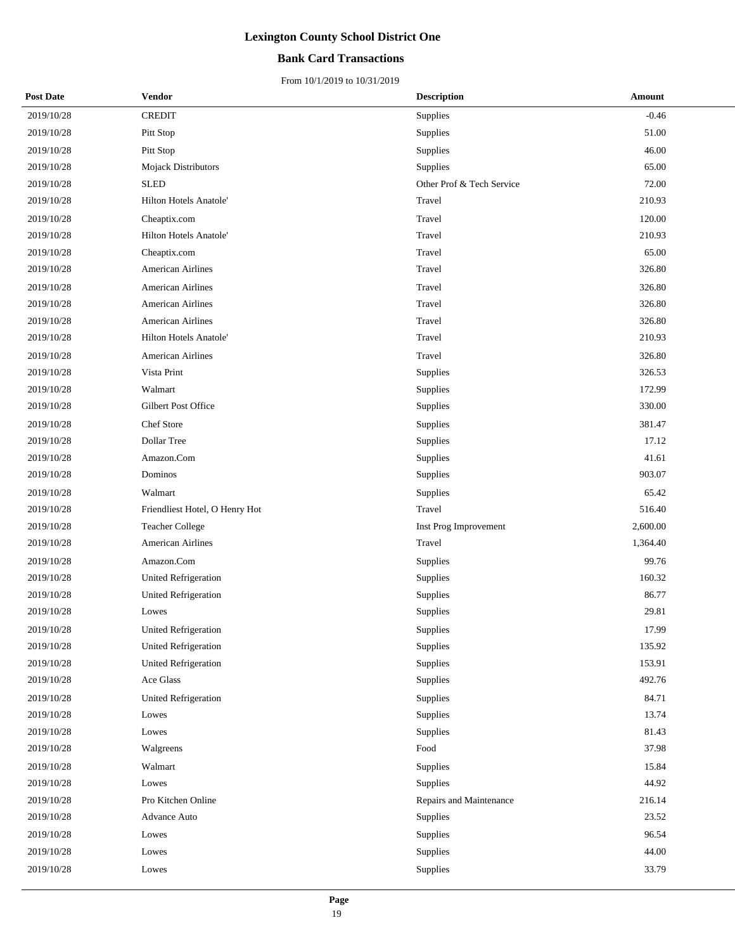## **Bank Card Transactions**

| <b>Post Date</b> | Vendor                         | <b>Description</b>        | Amount   |
|------------------|--------------------------------|---------------------------|----------|
| 2019/10/28       | <b>CREDIT</b>                  | Supplies                  | $-0.46$  |
| 2019/10/28       | Pitt Stop                      | Supplies                  | 51.00    |
| 2019/10/28       | Pitt Stop                      | Supplies                  | 46.00    |
| 2019/10/28       | Mojack Distributors            | Supplies                  | 65.00    |
| 2019/10/28       | <b>SLED</b>                    | Other Prof & Tech Service | 72.00    |
| 2019/10/28       | <b>Hilton Hotels Anatole'</b>  | Travel                    | 210.93   |
| 2019/10/28       | Cheaptix.com                   | Travel                    | 120.00   |
| 2019/10/28       | <b>Hilton Hotels Anatole'</b>  | Travel                    | 210.93   |
| 2019/10/28       | Cheaptix.com                   | Travel                    | 65.00    |
| 2019/10/28       | American Airlines              | Travel                    | 326.80   |
| 2019/10/28       | <b>American Airlines</b>       | Travel                    | 326.80   |
| 2019/10/28       | <b>American Airlines</b>       | Travel                    | 326.80   |
| 2019/10/28       | American Airlines              | Travel                    | 326.80   |
| 2019/10/28       | Hilton Hotels Anatole'         | Travel                    | 210.93   |
| 2019/10/28       | <b>American Airlines</b>       | Travel                    | 326.80   |
| 2019/10/28       | Vista Print                    | Supplies                  | 326.53   |
| 2019/10/28       | Walmart                        | Supplies                  | 172.99   |
| 2019/10/28       | Gilbert Post Office            | Supplies                  | 330.00   |
| 2019/10/28       | Chef Store                     | Supplies                  | 381.47   |
| 2019/10/28       | Dollar Tree                    | Supplies                  | 17.12    |
| 2019/10/28       | Amazon.Com                     | Supplies                  | 41.61    |
| 2019/10/28       | Dominos                        | Supplies                  | 903.07   |
| 2019/10/28       | Walmart                        | Supplies                  | 65.42    |
| 2019/10/28       | Friendliest Hotel, O Henry Hot | Travel                    | 516.40   |
| 2019/10/28       | <b>Teacher College</b>         | Inst Prog Improvement     | 2,600.00 |
| 2019/10/28       | American Airlines              | Travel                    | 1,364.40 |
| 2019/10/28       | Amazon.Com                     | Supplies                  | 99.76    |
| 2019/10/28       | <b>United Refrigeration</b>    | Supplies                  | 160.32   |
| 2019/10/28       | United Refrigeration           | Supplies                  | 86.77    |
| 2019/10/28       | Lowes                          | Supplies                  | 29.81    |
| 2019/10/28       | <b>United Refrigeration</b>    | Supplies                  | 17.99    |
| 2019/10/28       | <b>United Refrigeration</b>    | Supplies                  | 135.92   |
| 2019/10/28       | United Refrigeration           | Supplies                  | 153.91   |
| 2019/10/28       | Ace Glass                      | Supplies                  | 492.76   |
| 2019/10/28       | United Refrigeration           | Supplies                  | 84.71    |
| 2019/10/28       | Lowes                          | Supplies                  | 13.74    |
| 2019/10/28       | Lowes                          | Supplies                  | 81.43    |
| 2019/10/28       | Walgreens                      | Food                      | 37.98    |
| 2019/10/28       | Walmart                        | Supplies                  | 15.84    |
| 2019/10/28       | Lowes                          | Supplies                  | 44.92    |
| 2019/10/28       | Pro Kitchen Online             | Repairs and Maintenance   | 216.14   |
| 2019/10/28       | Advance Auto                   | Supplies                  | 23.52    |
| 2019/10/28       | Lowes                          | Supplies                  | 96.54    |
| 2019/10/28       | Lowes                          | Supplies                  | 44.00    |
| 2019/10/28       | Lowes                          | Supplies                  | 33.79    |
|                  |                                |                           |          |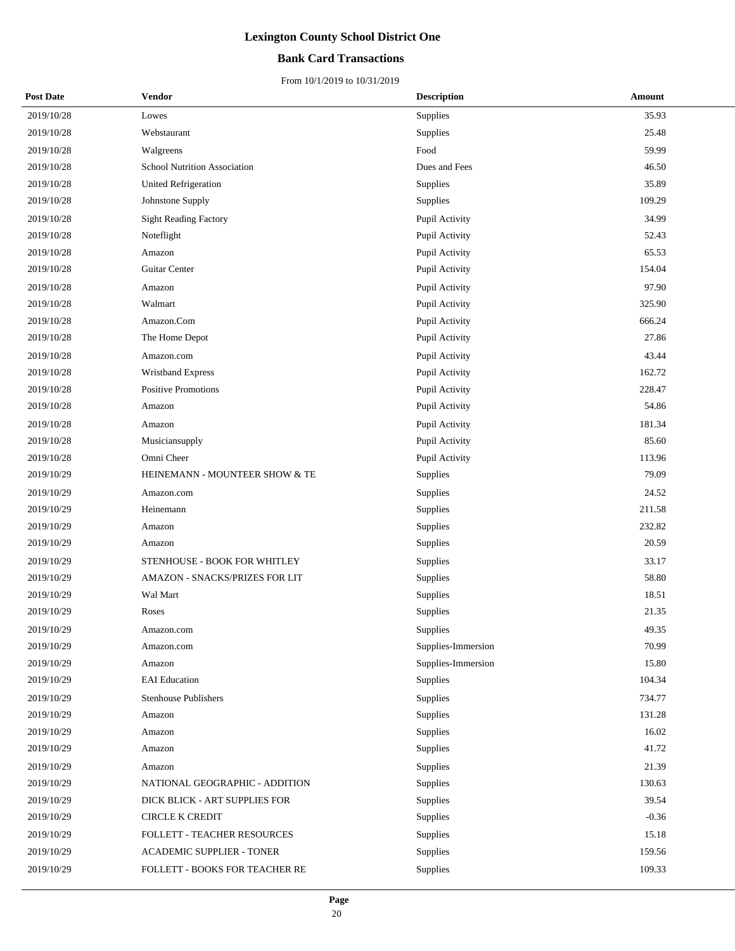## **Bank Card Transactions**

| <b>Post Date</b> | <b>Vendor</b>                  | <b>Description</b> | Amount  |
|------------------|--------------------------------|--------------------|---------|
| 2019/10/28       | Lowes                          | Supplies           | 35.93   |
| 2019/10/28       | Webstaurant                    | Supplies           | 25.48   |
| 2019/10/28       | Walgreens                      | Food               | 59.99   |
| 2019/10/28       | School Nutrition Association   | Dues and Fees      | 46.50   |
| 2019/10/28       | <b>United Refrigeration</b>    | Supplies           | 35.89   |
| 2019/10/28       | Johnstone Supply               | Supplies           | 109.29  |
| 2019/10/28       | <b>Sight Reading Factory</b>   | Pupil Activity     | 34.99   |
| 2019/10/28       | Noteflight                     | Pupil Activity     | 52.43   |
| 2019/10/28       | Amazon                         | Pupil Activity     | 65.53   |
| 2019/10/28       | Guitar Center                  | Pupil Activity     | 154.04  |
| 2019/10/28       | Amazon                         | Pupil Activity     | 97.90   |
| 2019/10/28       | Walmart                        | Pupil Activity     | 325.90  |
| 2019/10/28       | Amazon.Com                     | Pupil Activity     | 666.24  |
| 2019/10/28       | The Home Depot                 | Pupil Activity     | 27.86   |
| 2019/10/28       | Amazon.com                     | Pupil Activity     | 43.44   |
| 2019/10/28       | Wristband Express              | Pupil Activity     | 162.72  |
| 2019/10/28       | <b>Positive Promotions</b>     | Pupil Activity     | 228.47  |
| 2019/10/28       | Amazon                         | Pupil Activity     | 54.86   |
| 2019/10/28       | Amazon                         | Pupil Activity     | 181.34  |
| 2019/10/28       | Musiciansupply                 | Pupil Activity     | 85.60   |
| 2019/10/28       | Omni Cheer                     | Pupil Activity     | 113.96  |
| 2019/10/29       | HEINEMANN - MOUNTEER SHOW & TE | Supplies           | 79.09   |
| 2019/10/29       | Amazon.com                     | Supplies           | 24.52   |
| 2019/10/29       | Heinemann                      | Supplies           | 211.58  |
| 2019/10/29       | Amazon                         | Supplies           | 232.82  |
| 2019/10/29       | Amazon                         | Supplies           | 20.59   |
| 2019/10/29       | STENHOUSE - BOOK FOR WHITLEY   | Supplies           | 33.17   |
| 2019/10/29       | AMAZON - SNACKS/PRIZES FOR LIT | Supplies           | 58.80   |
| 2019/10/29       | Wal Mart                       | Supplies           | 18.51   |
| 2019/10/29       | Roses                          | Supplies           | 21.35   |
| 2019/10/29       | Amazon.com                     | Supplies           | 49.35   |
| 2019/10/29       | Amazon.com                     | Supplies-Immersion | 70.99   |
| 2019/10/29       | Amazon                         | Supplies-Immersion | 15.80   |
| 2019/10/29       | <b>EAI</b> Education           | Supplies           | 104.34  |
| 2019/10/29       | <b>Stenhouse Publishers</b>    | Supplies           | 734.77  |
| 2019/10/29       | Amazon                         | Supplies           | 131.28  |
| 2019/10/29       | Amazon                         | Supplies           | 16.02   |
| 2019/10/29       | Amazon                         | Supplies           | 41.72   |
| 2019/10/29       | Amazon                         | Supplies           | 21.39   |
| 2019/10/29       | NATIONAL GEOGRAPHIC - ADDITION | Supplies           | 130.63  |
| 2019/10/29       | DICK BLICK - ART SUPPLIES FOR  | Supplies           | 39.54   |
| 2019/10/29       | <b>CIRCLE K CREDIT</b>         | Supplies           | $-0.36$ |
| 2019/10/29       | FOLLETT - TEACHER RESOURCES    | Supplies           | 15.18   |
| 2019/10/29       | ACADEMIC SUPPLIER - TONER      | Supplies           | 159.56  |
| 2019/10/29       | FOLLETT - BOOKS FOR TEACHER RE | Supplies           | 109.33  |
|                  |                                |                    |         |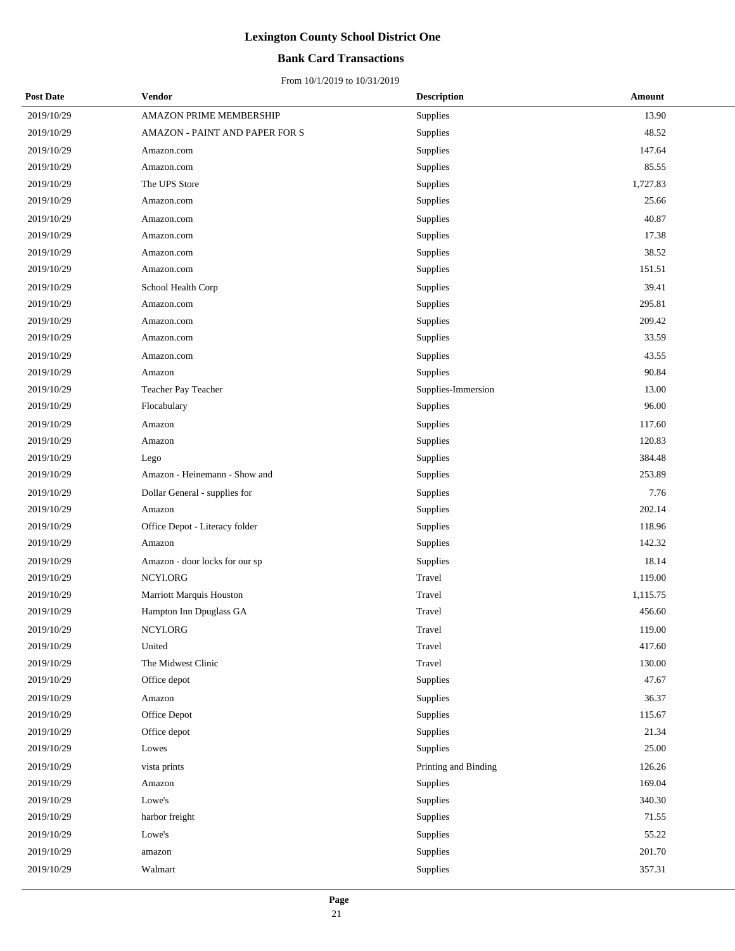### **Bank Card Transactions**

| <b>Post Date</b> | Vendor                         | <b>Description</b>   | Amount   |
|------------------|--------------------------------|----------------------|----------|
| 2019/10/29       | AMAZON PRIME MEMBERSHIP        | Supplies             | 13.90    |
| 2019/10/29       | AMAZON - PAINT AND PAPER FOR S | Supplies             | 48.52    |
| 2019/10/29       | Amazon.com                     | Supplies             | 147.64   |
| 2019/10/29       | Amazon.com                     | Supplies             | 85.55    |
| 2019/10/29       | The UPS Store                  | Supplies             | 1,727.83 |
| 2019/10/29       | Amazon.com                     | Supplies             | 25.66    |
| 2019/10/29       | Amazon.com                     | Supplies             | 40.87    |
| 2019/10/29       | Amazon.com                     | Supplies             | 17.38    |
| 2019/10/29       | Amazon.com                     | Supplies             | 38.52    |
| 2019/10/29       | Amazon.com                     | Supplies             | 151.51   |
| 2019/10/29       | School Health Corp             | Supplies             | 39.41    |
| 2019/10/29       | Amazon.com                     | Supplies             | 295.81   |
| 2019/10/29       | Amazon.com                     | Supplies             | 209.42   |
| 2019/10/29       | Amazon.com                     | Supplies             | 33.59    |
| 2019/10/29       | Amazon.com                     | Supplies             | 43.55    |
| 2019/10/29       | Amazon                         | Supplies             | 90.84    |
| 2019/10/29       | Teacher Pay Teacher            | Supplies-Immersion   | 13.00    |
| 2019/10/29       | Flocabulary                    | Supplies             | 96.00    |
| 2019/10/29       | Amazon                         | Supplies             | 117.60   |
| 2019/10/29       | Amazon                         | Supplies             | 120.83   |
| 2019/10/29       | Lego                           | Supplies             | 384.48   |
| 2019/10/29       | Amazon - Heinemann - Show and  | Supplies             | 253.89   |
| 2019/10/29       | Dollar General - supplies for  | Supplies             | 7.76     |
| 2019/10/29       | Amazon                         | Supplies             | 202.14   |
| 2019/10/29       | Office Depot - Literacy folder | Supplies             | 118.96   |
| 2019/10/29       | Amazon                         | Supplies             | 142.32   |
| 2019/10/29       | Amazon - door locks for our sp | Supplies             | 18.14    |
| 2019/10/29       | NCYI.ORG                       | Travel               | 119.00   |
| 2019/10/29       | Marriott Marquis Houston       | Travel               | 1,115.75 |
| 2019/10/29       | Hampton Inn Dpuglass GA        | Travel               | 456.60   |
| 2019/10/29       | NCYLORG                        | Travel               | 119.00   |
| 2019/10/29       | United                         | Travel               | 417.60   |
| 2019/10/29       | The Midwest Clinic             | Travel               | 130.00   |
| 2019/10/29       | Office depot                   | Supplies             | 47.67    |
| 2019/10/29       | Amazon                         | Supplies             | 36.37    |
| 2019/10/29       | Office Depot                   | Supplies             | 115.67   |
| 2019/10/29       | Office depot                   | Supplies             | 21.34    |
| 2019/10/29       | Lowes                          | Supplies             | 25.00    |
| 2019/10/29       | vista prints                   | Printing and Binding | 126.26   |
| 2019/10/29       | Amazon                         | Supplies             | 169.04   |
| 2019/10/29       | Lowe's                         | Supplies             | 340.30   |
| 2019/10/29       | harbor freight                 | Supplies             | 71.55    |
| 2019/10/29       | Lowe's                         | Supplies             | 55.22    |
| 2019/10/29       | amazon                         | Supplies             | 201.70   |
| 2019/10/29       | Walmart                        | Supplies             | 357.31   |
|                  |                                |                      |          |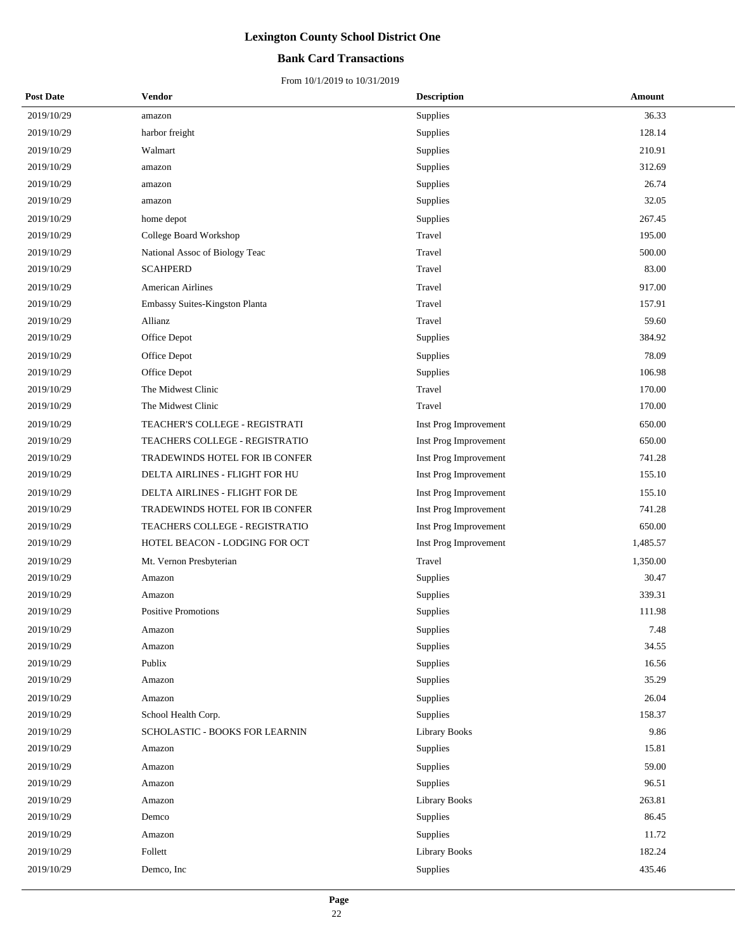## **Bank Card Transactions**

| <b>Post Date</b> | Vendor                         | <b>Description</b>    | Amount   |
|------------------|--------------------------------|-----------------------|----------|
| 2019/10/29       | amazon                         | <b>Supplies</b>       | 36.33    |
| 2019/10/29       | harbor freight                 | Supplies              | 128.14   |
| 2019/10/29       | Walmart                        | Supplies              | 210.91   |
| 2019/10/29       | amazon                         | Supplies              | 312.69   |
| 2019/10/29       | amazon                         | Supplies              | 26.74    |
| 2019/10/29       | amazon                         | Supplies              | 32.05    |
| 2019/10/29       | home depot                     | Supplies              | 267.45   |
| 2019/10/29       | College Board Workshop         | Travel                | 195.00   |
| 2019/10/29       | National Assoc of Biology Teac | Travel                | 500.00   |
| 2019/10/29       | <b>SCAHPERD</b>                | Travel                | 83.00    |
| 2019/10/29       | <b>American Airlines</b>       | Travel                | 917.00   |
| 2019/10/29       | Embassy Suites-Kingston Planta | Travel                | 157.91   |
| 2019/10/29       | Allianz                        | Travel                | 59.60    |
| 2019/10/29       | Office Depot                   | Supplies              | 384.92   |
| 2019/10/29       | Office Depot                   | Supplies              | 78.09    |
| 2019/10/29       | Office Depot                   | Supplies              | 106.98   |
| 2019/10/29       | The Midwest Clinic             | Travel                | 170.00   |
| 2019/10/29       | The Midwest Clinic             | Travel                | 170.00   |
| 2019/10/29       | TEACHER'S COLLEGE - REGISTRATI | Inst Prog Improvement | 650.00   |
| 2019/10/29       | TEACHERS COLLEGE - REGISTRATIO | Inst Prog Improvement | 650.00   |
| 2019/10/29       | TRADEWINDS HOTEL FOR IB CONFER | Inst Prog Improvement | 741.28   |
| 2019/10/29       | DELTA AIRLINES - FLIGHT FOR HU | Inst Prog Improvement | 155.10   |
| 2019/10/29       | DELTA AIRLINES - FLIGHT FOR DE | Inst Prog Improvement | 155.10   |
| 2019/10/29       | TRADEWINDS HOTEL FOR IB CONFER | Inst Prog Improvement | 741.28   |
| 2019/10/29       | TEACHERS COLLEGE - REGISTRATIO | Inst Prog Improvement | 650.00   |
| 2019/10/29       | HOTEL BEACON - LODGING FOR OCT | Inst Prog Improvement | 1,485.57 |
| 2019/10/29       | Mt. Vernon Presbyterian        | Travel                | 1,350.00 |
| 2019/10/29       | Amazon                         | Supplies              | 30.47    |
| 2019/10/29       | Amazon                         | Supplies              | 339.31   |
| 2019/10/29       | <b>Positive Promotions</b>     | Supplies              | 111.98   |
| 2019/10/29       | Amazon                         | Supplies              | 7.48     |
| 2019/10/29       | Amazon                         | Supplies              | 34.55    |
| 2019/10/29       | Publix                         | Supplies              | 16.56    |
| 2019/10/29       | Amazon                         | Supplies              | 35.29    |
| 2019/10/29       | Amazon                         | Supplies              | 26.04    |
| 2019/10/29       | School Health Corp.            | Supplies              | 158.37   |
| 2019/10/29       | SCHOLASTIC - BOOKS FOR LEARNIN | Library Books         | 9.86     |
| 2019/10/29       | Amazon                         | Supplies              | 15.81    |
| 2019/10/29       | Amazon                         | Supplies              | 59.00    |
| 2019/10/29       | Amazon                         | Supplies              | 96.51    |
| 2019/10/29       | Amazon                         | <b>Library Books</b>  | 263.81   |
| 2019/10/29       | Demco                          | Supplies              | 86.45    |
| 2019/10/29       | Amazon                         | Supplies              | 11.72    |
| 2019/10/29       | Follett                        | <b>Library Books</b>  | 182.24   |
| 2019/10/29       | Demco, Inc                     | Supplies              | 435.46   |
|                  |                                |                       |          |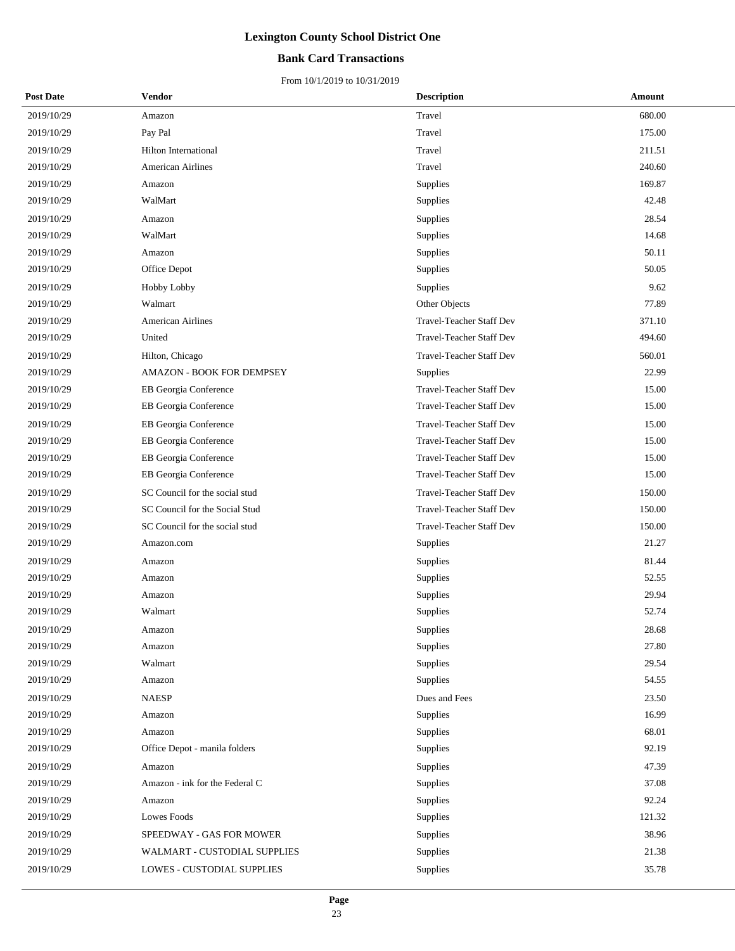## **Bank Card Transactions**

| <b>Post Date</b> | Vendor                           | <b>Description</b>              | Amount |
|------------------|----------------------------------|---------------------------------|--------|
| 2019/10/29       | Amazon                           | Travel                          | 680.00 |
| 2019/10/29       | Pay Pal                          | Travel                          | 175.00 |
| 2019/10/29       | Hilton International             | Travel                          | 211.51 |
| 2019/10/29       | <b>American Airlines</b>         | Travel                          | 240.60 |
| 2019/10/29       | Amazon                           | Supplies                        | 169.87 |
| 2019/10/29       | WalMart                          | Supplies                        | 42.48  |
| 2019/10/29       | Amazon                           | Supplies                        | 28.54  |
| 2019/10/29       | WalMart                          | Supplies                        | 14.68  |
| 2019/10/29       | Amazon                           | Supplies                        | 50.11  |
| 2019/10/29       | Office Depot                     | Supplies                        | 50.05  |
| 2019/10/29       | <b>Hobby Lobby</b>               | Supplies                        | 9.62   |
| 2019/10/29       | Walmart                          | Other Objects                   | 77.89  |
| 2019/10/29       | <b>American Airlines</b>         | <b>Travel-Teacher Staff Dev</b> | 371.10 |
| 2019/10/29       | United                           | <b>Travel-Teacher Staff Dev</b> | 494.60 |
| 2019/10/29       | Hilton, Chicago                  | Travel-Teacher Staff Dev        | 560.01 |
| 2019/10/29       | <b>AMAZON - BOOK FOR DEMPSEY</b> | <b>Supplies</b>                 | 22.99  |
| 2019/10/29       | EB Georgia Conference            | Travel-Teacher Staff Dev        | 15.00  |
| 2019/10/29       | EB Georgia Conference            | <b>Travel-Teacher Staff Dev</b> | 15.00  |
| 2019/10/29       | EB Georgia Conference            | <b>Travel-Teacher Staff Dev</b> | 15.00  |
| 2019/10/29       | EB Georgia Conference            | <b>Travel-Teacher Staff Dev</b> | 15.00  |
| 2019/10/29       | EB Georgia Conference            | Travel-Teacher Staff Dev        | 15.00  |
| 2019/10/29       | EB Georgia Conference            | Travel-Teacher Staff Dev        | 15.00  |
| 2019/10/29       | SC Council for the social stud   | <b>Travel-Teacher Staff Dev</b> | 150.00 |
| 2019/10/29       | SC Council for the Social Stud   | <b>Travel-Teacher Staff Dev</b> | 150.00 |
| 2019/10/29       | SC Council for the social stud   | Travel-Teacher Staff Dev        | 150.00 |
| 2019/10/29       | Amazon.com                       | Supplies                        | 21.27  |
| 2019/10/29       | Amazon                           | Supplies                        | 81.44  |
| 2019/10/29       | Amazon                           | Supplies                        | 52.55  |
| 2019/10/29       | Amazon                           | Supplies                        | 29.94  |
| 2019/10/29       | Walmart                          | Supplies                        | 52.74  |
| 2019/10/29       | Amazon                           | Supplies                        | 28.68  |
| 2019/10/29       | Amazon                           | Supplies                        | 27.80  |
| 2019/10/29       | Walmart                          | Supplies                        | 29.54  |
| 2019/10/29       | Amazon                           | Supplies                        | 54.55  |
| 2019/10/29       | <b>NAESP</b>                     | Dues and Fees                   | 23.50  |
| 2019/10/29       | Amazon                           | Supplies                        | 16.99  |
| 2019/10/29       | Amazon                           | Supplies                        | 68.01  |
| 2019/10/29       | Office Depot - manila folders    | Supplies                        | 92.19  |
| 2019/10/29       | Amazon                           | Supplies                        | 47.39  |
| 2019/10/29       | Amazon - ink for the Federal C   | Supplies                        | 37.08  |
| 2019/10/29       | Amazon                           | Supplies                        | 92.24  |
| 2019/10/29       | Lowes Foods                      | Supplies                        | 121.32 |
| 2019/10/29       | SPEEDWAY - GAS FOR MOWER         | Supplies                        | 38.96  |
| 2019/10/29       | WALMART - CUSTODIAL SUPPLIES     | Supplies                        | 21.38  |
| 2019/10/29       | LOWES - CUSTODIAL SUPPLIES       | Supplies                        | 35.78  |
|                  |                                  |                                 |        |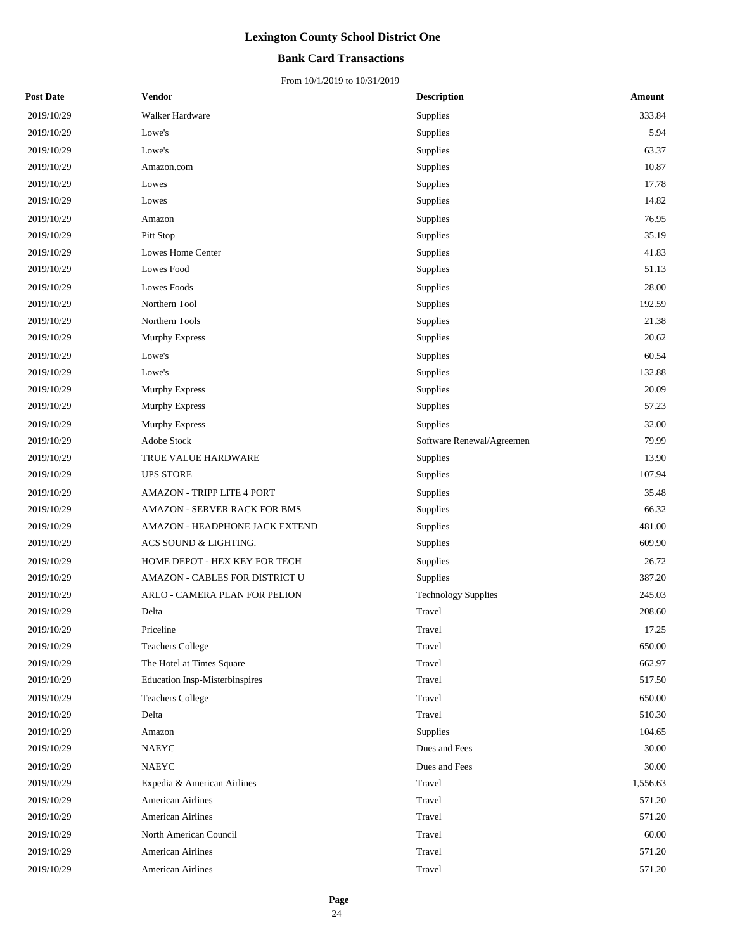### **Bank Card Transactions**

| <b>Post Date</b> | <b>Vendor</b>                         | <b>Description</b>         | Amount   |
|------------------|---------------------------------------|----------------------------|----------|
| 2019/10/29       | Walker Hardware                       | Supplies                   | 333.84   |
| 2019/10/29       | Lowe's                                | Supplies                   | 5.94     |
| 2019/10/29       | Lowe's                                | Supplies                   | 63.37    |
| 2019/10/29       | Amazon.com                            | Supplies                   | 10.87    |
| 2019/10/29       | Lowes                                 | Supplies                   | 17.78    |
| 2019/10/29       | Lowes                                 | Supplies                   | 14.82    |
| 2019/10/29       | Amazon                                | Supplies                   | 76.95    |
| 2019/10/29       | Pitt Stop                             | Supplies                   | 35.19    |
| 2019/10/29       | Lowes Home Center                     | Supplies                   | 41.83    |
| 2019/10/29       | Lowes Food                            | Supplies                   | 51.13    |
| 2019/10/29       | <b>Lowes Foods</b>                    | Supplies                   | 28.00    |
| 2019/10/29       | Northern Tool                         | Supplies                   | 192.59   |
| 2019/10/29       | Northern Tools                        | Supplies                   | 21.38    |
| 2019/10/29       | Murphy Express                        | Supplies                   | 20.62    |
| 2019/10/29       | Lowe's                                | Supplies                   | 60.54    |
| 2019/10/29       | Lowe's                                | Supplies                   | 132.88   |
| 2019/10/29       | Murphy Express                        | Supplies                   | 20.09    |
| 2019/10/29       | <b>Murphy Express</b>                 | Supplies                   | 57.23    |
| 2019/10/29       | <b>Murphy Express</b>                 | Supplies                   | 32.00    |
| 2019/10/29       | Adobe Stock                           | Software Renewal/Agreemen  | 79.99    |
| 2019/10/29       | TRUE VALUE HARDWARE                   | Supplies                   | 13.90    |
| 2019/10/29       | <b>UPS STORE</b>                      | Supplies                   | 107.94   |
| 2019/10/29       | AMAZON - TRIPP LITE 4 PORT            | Supplies                   | 35.48    |
| 2019/10/29       | AMAZON - SERVER RACK FOR BMS          | Supplies                   | 66.32    |
| 2019/10/29       | AMAZON - HEADPHONE JACK EXTEND        | Supplies                   | 481.00   |
| 2019/10/29       | ACS SOUND & LIGHTING.                 | Supplies                   | 609.90   |
| 2019/10/29       | HOME DEPOT - HEX KEY FOR TECH         | Supplies                   | 26.72    |
| 2019/10/29       | AMAZON - CABLES FOR DISTRICT U        | Supplies                   | 387.20   |
| 2019/10/29       | ARLO - CAMERA PLAN FOR PELION         | <b>Technology Supplies</b> | 245.03   |
| 2019/10/29       | Delta                                 | Travel                     | 208.60   |
| 2019/10/29       | Priceline                             | Travel                     | 17.25    |
| 2019/10/29       | <b>Teachers College</b>               | Travel                     | 650.00   |
| 2019/10/29       | The Hotel at Times Square             | Travel                     | 662.97   |
| 2019/10/29       | <b>Education Insp-Misterbinspires</b> | Travel                     | 517.50   |
| 2019/10/29       | <b>Teachers College</b>               | Travel                     | 650.00   |
| 2019/10/29       | Delta                                 | Travel                     | 510.30   |
| 2019/10/29       | Amazon                                | Supplies                   | 104.65   |
| 2019/10/29       | <b>NAEYC</b>                          | Dues and Fees              | 30.00    |
| 2019/10/29       | <b>NAEYC</b>                          | Dues and Fees              | 30.00    |
| 2019/10/29       | Expedia & American Airlines           | Travel                     | 1,556.63 |
| 2019/10/29       | <b>American Airlines</b>              | Travel                     | 571.20   |
| 2019/10/29       | <b>American Airlines</b>              | Travel                     | 571.20   |
| 2019/10/29       | North American Council                | Travel                     | 60.00    |
| 2019/10/29       | <b>American Airlines</b>              | Travel                     | 571.20   |
| 2019/10/29       | <b>American Airlines</b>              | Travel                     | 571.20   |
|                  |                                       |                            |          |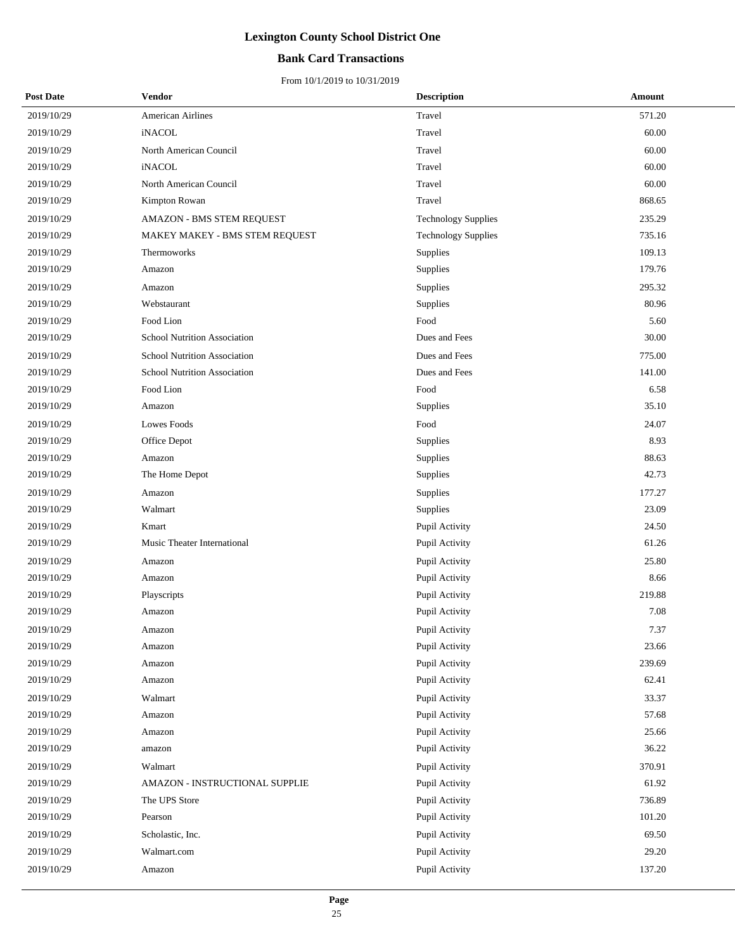## **Bank Card Transactions**

| <b>Post Date</b> | Vendor                         | <b>Description</b>         | Amount |
|------------------|--------------------------------|----------------------------|--------|
| 2019/10/29       | American Airlines              | Travel                     | 571.20 |
| 2019/10/29       | iNACOL                         | Travel                     | 60.00  |
| 2019/10/29       | North American Council         | Travel                     | 60.00  |
| 2019/10/29       | <i>iNACOL</i>                  | Travel                     | 60.00  |
| 2019/10/29       | North American Council         | Travel                     | 60.00  |
| 2019/10/29       | Kimpton Rowan                  | Travel                     | 868.65 |
| 2019/10/29       | AMAZON - BMS STEM REQUEST      | <b>Technology Supplies</b> | 235.29 |
| 2019/10/29       | MAKEY MAKEY - BMS STEM REQUEST | <b>Technology Supplies</b> | 735.16 |
| 2019/10/29       | Thermoworks                    | Supplies                   | 109.13 |
| 2019/10/29       | Amazon                         | Supplies                   | 179.76 |
| 2019/10/29       | Amazon                         | Supplies                   | 295.32 |
| 2019/10/29       | Webstaurant                    | Supplies                   | 80.96  |
| 2019/10/29       | Food Lion                      | Food                       | 5.60   |
| 2019/10/29       | School Nutrition Association   | Dues and Fees              | 30.00  |
| 2019/10/29       | School Nutrition Association   | Dues and Fees              | 775.00 |
| 2019/10/29       | School Nutrition Association   | Dues and Fees              | 141.00 |
| 2019/10/29       | Food Lion                      | Food                       | 6.58   |
| 2019/10/29       | Amazon                         | Supplies                   | 35.10  |
| 2019/10/29       | Lowes Foods                    | Food                       | 24.07  |
| 2019/10/29       | Office Depot                   | Supplies                   | 8.93   |
| 2019/10/29       | Amazon                         | Supplies                   | 88.63  |
| 2019/10/29       | The Home Depot                 | Supplies                   | 42.73  |
| 2019/10/29       | Amazon                         | Supplies                   | 177.27 |
| 2019/10/29       | Walmart                        | Supplies                   | 23.09  |
| 2019/10/29       | Kmart                          | Pupil Activity             | 24.50  |
| 2019/10/29       | Music Theater International    | Pupil Activity             | 61.26  |
| 2019/10/29       | Amazon                         | Pupil Activity             | 25.80  |
| 2019/10/29       | Amazon                         | Pupil Activity             | 8.66   |
| 2019/10/29       | Playscripts                    | Pupil Activity             | 219.88 |
| 2019/10/29       | Amazon                         | Pupil Activity             | 7.08   |
| 2019/10/29       | Amazon                         | Pupil Activity             | 7.37   |
| 2019/10/29       | Amazon                         | Pupil Activity             | 23.66  |
| 2019/10/29       | Amazon                         | Pupil Activity             | 239.69 |
| 2019/10/29       | Amazon                         | Pupil Activity             | 62.41  |
| 2019/10/29       | Walmart                        | Pupil Activity             | 33.37  |
| 2019/10/29       | Amazon                         | Pupil Activity             | 57.68  |
| 2019/10/29       | Amazon                         | Pupil Activity             | 25.66  |
| 2019/10/29       | amazon                         | Pupil Activity             | 36.22  |
| 2019/10/29       | Walmart                        | Pupil Activity             | 370.91 |
| 2019/10/29       | AMAZON - INSTRUCTIONAL SUPPLIE | Pupil Activity             | 61.92  |
| 2019/10/29       | The UPS Store                  | Pupil Activity             | 736.89 |
| 2019/10/29       | Pearson                        | Pupil Activity             | 101.20 |
| 2019/10/29       | Scholastic, Inc.               | Pupil Activity             | 69.50  |
| 2019/10/29       | Walmart.com                    | Pupil Activity             | 29.20  |
| 2019/10/29       | Amazon                         | Pupil Activity             | 137.20 |
|                  |                                |                            |        |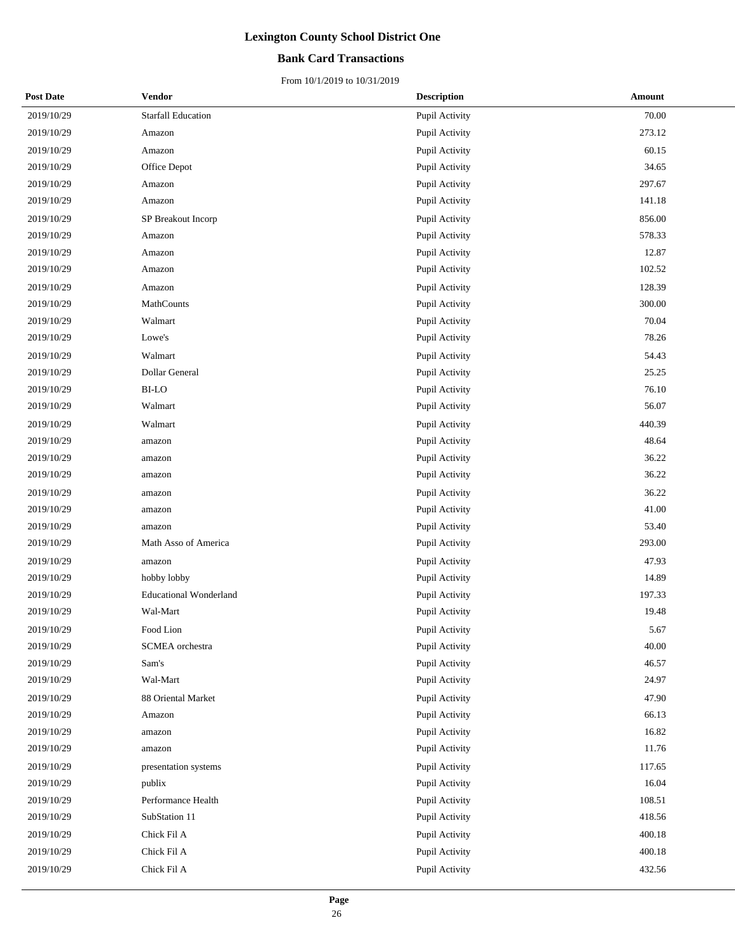## **Bank Card Transactions**

| <b>Post Date</b> | Vendor                        | <b>Description</b> | Amount    |
|------------------|-------------------------------|--------------------|-----------|
| 2019/10/29       | <b>Starfall Education</b>     | Pupil Activity     | 70.00     |
| 2019/10/29       | Amazon                        | Pupil Activity     | 273.12    |
| 2019/10/29       | Amazon                        | Pupil Activity     | 60.15     |
| 2019/10/29       | Office Depot                  | Pupil Activity     | 34.65     |
| 2019/10/29       | Amazon                        | Pupil Activity     | 297.67    |
| 2019/10/29       | Amazon                        | Pupil Activity     | 141.18    |
| 2019/10/29       | SP Breakout Incorp            | Pupil Activity     | 856.00    |
| 2019/10/29       | Amazon                        | Pupil Activity     | 578.33    |
| 2019/10/29       | Amazon                        | Pupil Activity     | 12.87     |
| 2019/10/29       | Amazon                        | Pupil Activity     | 102.52    |
| 2019/10/29       | Amazon                        | Pupil Activity     | 128.39    |
| 2019/10/29       | MathCounts                    | Pupil Activity     | 300.00    |
| 2019/10/29       | Walmart                       | Pupil Activity     | 70.04     |
| 2019/10/29       | Lowe's                        | Pupil Activity     | 78.26     |
| 2019/10/29       | Walmart                       | Pupil Activity     | 54.43     |
| 2019/10/29       | <b>Dollar General</b>         | Pupil Activity     | 25.25     |
| 2019/10/29       | <b>BI-LO</b>                  | Pupil Activity     | $76.10\,$ |
| 2019/10/29       | Walmart                       | Pupil Activity     | 56.07     |
| 2019/10/29       | Walmart                       | Pupil Activity     | 440.39    |
| 2019/10/29       | amazon                        | Pupil Activity     | 48.64     |
| 2019/10/29       | amazon                        | Pupil Activity     | 36.22     |
| 2019/10/29       | amazon                        | Pupil Activity     | 36.22     |
| 2019/10/29       | amazon                        | Pupil Activity     | 36.22     |
| 2019/10/29       | amazon                        | Pupil Activity     | 41.00     |
| 2019/10/29       | amazon                        | Pupil Activity     | 53.40     |
| 2019/10/29       | Math Asso of America          | Pupil Activity     | 293.00    |
| 2019/10/29       | amazon                        | Pupil Activity     | 47.93     |
| 2019/10/29       | hobby lobby                   | Pupil Activity     | 14.89     |
| 2019/10/29       | <b>Educational Wonderland</b> | Pupil Activity     | 197.33    |
| 2019/10/29       | Wal-Mart                      | Pupil Activity     | 19.48     |
| 2019/10/29       | Food Lion                     | Pupil Activity     | 5.67      |
| 2019/10/29       | SCMEA orchestra               | Pupil Activity     | 40.00     |
| 2019/10/29       | Sam's                         | Pupil Activity     | 46.57     |
| 2019/10/29       | Wal-Mart                      | Pupil Activity     | 24.97     |
| 2019/10/29       | 88 Oriental Market            | Pupil Activity     | 47.90     |
| 2019/10/29       | Amazon                        | Pupil Activity     | 66.13     |
| 2019/10/29       | amazon                        | Pupil Activity     | 16.82     |
| 2019/10/29       | amazon                        | Pupil Activity     | 11.76     |
| 2019/10/29       | presentation systems          | Pupil Activity     | 117.65    |
| 2019/10/29       | publix                        | Pupil Activity     | 16.04     |
| 2019/10/29       | Performance Health            | Pupil Activity     | 108.51    |
| 2019/10/29       | SubStation 11                 | Pupil Activity     | 418.56    |
| 2019/10/29       | Chick Fil A                   | Pupil Activity     | 400.18    |
| 2019/10/29       | Chick Fil A                   | Pupil Activity     | 400.18    |
| 2019/10/29       | Chick Fil A                   | Pupil Activity     | 432.56    |
|                  |                               |                    |           |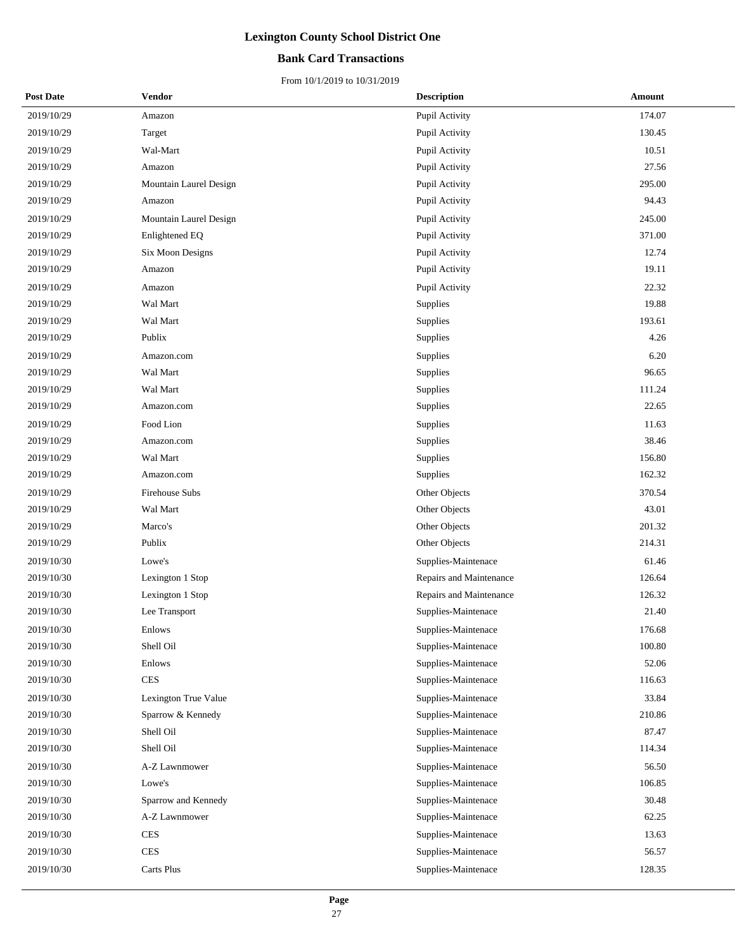## **Bank Card Transactions**

| <b>Post Date</b> | Vendor                 | <b>Description</b>      | Amount |
|------------------|------------------------|-------------------------|--------|
| 2019/10/29       | Amazon                 | Pupil Activity          | 174.07 |
| 2019/10/29       | Target                 | Pupil Activity          | 130.45 |
| 2019/10/29       | Wal-Mart               | Pupil Activity          | 10.51  |
| 2019/10/29       | Amazon                 | Pupil Activity          | 27.56  |
| 2019/10/29       | Mountain Laurel Design | Pupil Activity          | 295.00 |
| 2019/10/29       | Amazon                 | Pupil Activity          | 94.43  |
| 2019/10/29       | Mountain Laurel Design | Pupil Activity          | 245.00 |
| 2019/10/29       | Enlightened EQ         | Pupil Activity          | 371.00 |
| 2019/10/29       | Six Moon Designs       | Pupil Activity          | 12.74  |
| 2019/10/29       | Amazon                 | Pupil Activity          | 19.11  |
| 2019/10/29       | Amazon                 | Pupil Activity          | 22.32  |
| 2019/10/29       | Wal Mart               | Supplies                | 19.88  |
| 2019/10/29       | Wal Mart               | Supplies                | 193.61 |
| 2019/10/29       | Publix                 | Supplies                | 4.26   |
| 2019/10/29       | Amazon.com             | Supplies                | 6.20   |
| 2019/10/29       | Wal Mart               | Supplies                | 96.65  |
| 2019/10/29       | Wal Mart               | Supplies                | 111.24 |
| 2019/10/29       | Amazon.com             | Supplies                | 22.65  |
| 2019/10/29       | Food Lion              | Supplies                | 11.63  |
| 2019/10/29       | Amazon.com             | Supplies                | 38.46  |
| 2019/10/29       | Wal Mart               | Supplies                | 156.80 |
| 2019/10/29       | Amazon.com             | Supplies                | 162.32 |
| 2019/10/29       | Firehouse Subs         | Other Objects           | 370.54 |
| 2019/10/29       | Wal Mart               | Other Objects           | 43.01  |
| 2019/10/29       | Marco's                | Other Objects           | 201.32 |
| 2019/10/29       | Publix                 | Other Objects           | 214.31 |
| 2019/10/30       | Lowe's                 | Supplies-Maintenace     | 61.46  |
| 2019/10/30       | Lexington 1 Stop       | Repairs and Maintenance | 126.64 |
| 2019/10/30       | Lexington 1 Stop       | Repairs and Maintenance | 126.32 |
| 2019/10/30       | Lee Transport          | Supplies-Maintenace     | 21.40  |
| 2019/10/30       | Enlows                 | Supplies-Maintenace     | 176.68 |
| 2019/10/30       | Shell Oil              | Supplies-Maintenace     | 100.80 |
| 2019/10/30       | Enlows                 | Supplies-Maintenace     | 52.06  |
| 2019/10/30       | <b>CES</b>             | Supplies-Maintenace     | 116.63 |
| 2019/10/30       | Lexington True Value   | Supplies-Maintenace     | 33.84  |
| 2019/10/30       | Sparrow & Kennedy      | Supplies-Maintenace     | 210.86 |
| 2019/10/30       | Shell Oil              | Supplies-Maintenace     | 87.47  |
| 2019/10/30       | Shell Oil              | Supplies-Maintenace     | 114.34 |
| 2019/10/30       | A-Z Lawnmower          | Supplies-Maintenace     | 56.50  |
| 2019/10/30       | Lowe's                 | Supplies-Maintenace     | 106.85 |
| 2019/10/30       | Sparrow and Kennedy    | Supplies-Maintenace     | 30.48  |
| 2019/10/30       | A-Z Lawnmower          | Supplies-Maintenace     | 62.25  |
| 2019/10/30       | <b>CES</b>             | Supplies-Maintenace     | 13.63  |
| 2019/10/30       | <b>CES</b>             | Supplies-Maintenace     | 56.57  |
| 2019/10/30       | Carts Plus             | Supplies-Maintenace     | 128.35 |
|                  |                        |                         |        |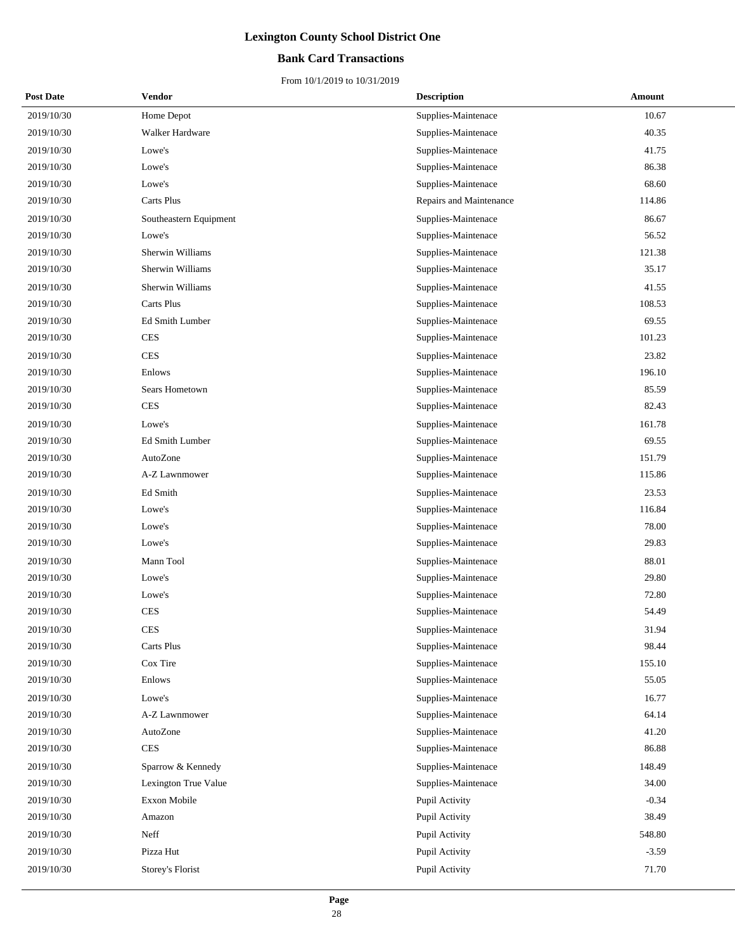## **Bank Card Transactions**

| <b>Post Date</b> | Vendor                 | <b>Description</b>      | Amount  |
|------------------|------------------------|-------------------------|---------|
| 2019/10/30       | Home Depot             | Supplies-Maintenace     | 10.67   |
| 2019/10/30       | Walker Hardware        | Supplies-Maintenace     | 40.35   |
| 2019/10/30       | Lowe's                 | Supplies-Maintenace     | 41.75   |
| 2019/10/30       | Lowe's                 | Supplies-Maintenace     | 86.38   |
| 2019/10/30       | Lowe's                 | Supplies-Maintenace     | 68.60   |
| 2019/10/30       | Carts Plus             | Repairs and Maintenance | 114.86  |
| 2019/10/30       | Southeastern Equipment | Supplies-Maintenace     | 86.67   |
| 2019/10/30       | Lowe's                 | Supplies-Maintenace     | 56.52   |
| 2019/10/30       | Sherwin Williams       | Supplies-Maintenace     | 121.38  |
| 2019/10/30       | Sherwin Williams       | Supplies-Maintenace     | 35.17   |
| 2019/10/30       | Sherwin Williams       | Supplies-Maintenace     | 41.55   |
| 2019/10/30       | Carts Plus             | Supplies-Maintenace     | 108.53  |
| 2019/10/30       | Ed Smith Lumber        | Supplies-Maintenace     | 69.55   |
| 2019/10/30       | <b>CES</b>             | Supplies-Maintenace     | 101.23  |
| 2019/10/30       | <b>CES</b>             | Supplies-Maintenace     | 23.82   |
| 2019/10/30       | Enlows                 | Supplies-Maintenace     | 196.10  |
| 2019/10/30       | Sears Hometown         | Supplies-Maintenace     | 85.59   |
| 2019/10/30       | <b>CES</b>             | Supplies-Maintenace     | 82.43   |
| 2019/10/30       | Lowe's                 | Supplies-Maintenace     | 161.78  |
| 2019/10/30       | Ed Smith Lumber        | Supplies-Maintenace     | 69.55   |
| 2019/10/30       | AutoZone               | Supplies-Maintenace     | 151.79  |
| 2019/10/30       | A-Z Lawnmower          | Supplies-Maintenace     | 115.86  |
| 2019/10/30       | Ed Smith               | Supplies-Maintenace     | 23.53   |
| 2019/10/30       | Lowe's                 | Supplies-Maintenace     | 116.84  |
| 2019/10/30       | Lowe's                 | Supplies-Maintenace     | 78.00   |
| 2019/10/30       | Lowe's                 | Supplies-Maintenace     | 29.83   |
| 2019/10/30       | Mann Tool              | Supplies-Maintenace     | 88.01   |
| 2019/10/30       | Lowe's                 | Supplies-Maintenace     | 29.80   |
| 2019/10/30       | Lowe's                 | Supplies-Maintenace     | 72.80   |
| 2019/10/30       | <b>CES</b>             | Supplies-Maintenace     | 54.49   |
| 2019/10/30       | <b>CES</b>             | Supplies-Maintenace     | 31.94   |
| 2019/10/30       | Carts Plus             | Supplies-Maintenace     | 98.44   |
| 2019/10/30       | Cox Tire               | Supplies-Maintenace     | 155.10  |
| 2019/10/30       | Enlows                 | Supplies-Maintenace     | 55.05   |
| 2019/10/30       | Lowe's                 | Supplies-Maintenace     | 16.77   |
| 2019/10/30       | A-Z Lawnmower          | Supplies-Maintenace     | 64.14   |
| 2019/10/30       | AutoZone               | Supplies-Maintenace     | 41.20   |
| 2019/10/30       | CES                    | Supplies-Maintenace     | 86.88   |
| 2019/10/30       | Sparrow & Kennedy      | Supplies-Maintenace     | 148.49  |
| 2019/10/30       | Lexington True Value   | Supplies-Maintenace     | 34.00   |
| 2019/10/30       | Exxon Mobile           | Pupil Activity          | $-0.34$ |
| 2019/10/30       | Amazon                 | Pupil Activity          | 38.49   |
| 2019/10/30       | Neff                   | Pupil Activity          | 548.80  |
| 2019/10/30       | Pizza Hut              | Pupil Activity          | $-3.59$ |
| 2019/10/30       | Storey's Florist       | Pupil Activity          | 71.70   |
|                  |                        |                         |         |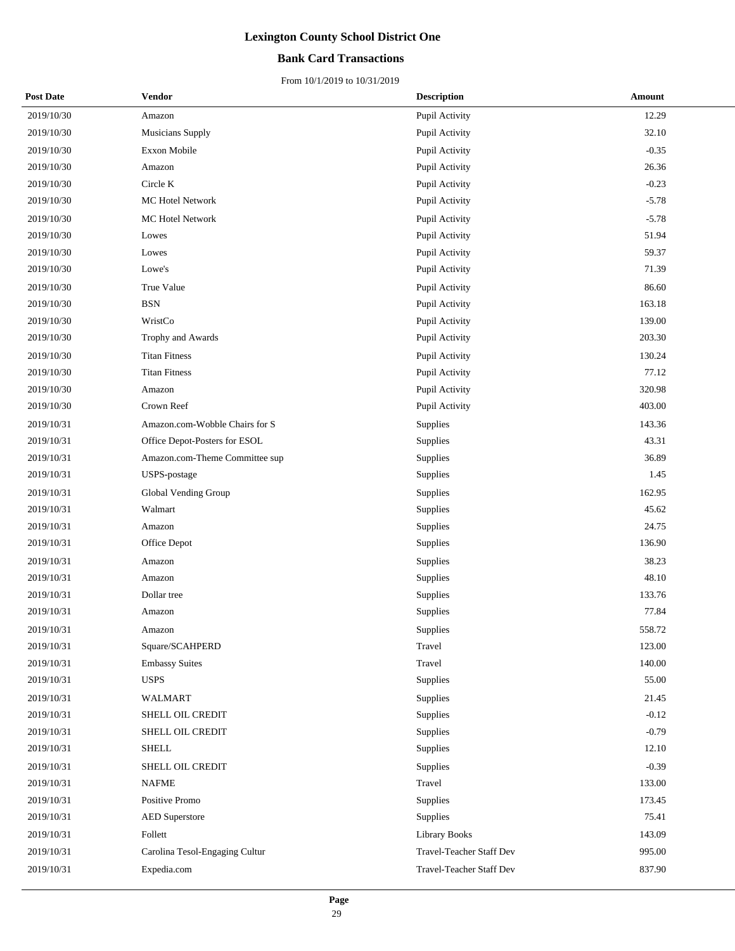## **Bank Card Transactions**

| <b>Post Date</b> | Vendor                         | <b>Description</b>       | Amount  |
|------------------|--------------------------------|--------------------------|---------|
| 2019/10/30       | Amazon                         | Pupil Activity           | 12.29   |
| 2019/10/30       | Musicians Supply               | Pupil Activity           | 32.10   |
| 2019/10/30       | Exxon Mobile                   | Pupil Activity           | $-0.35$ |
| 2019/10/30       | Amazon                         | Pupil Activity           | 26.36   |
| 2019/10/30       | Circle K                       | Pupil Activity           | $-0.23$ |
| 2019/10/30       | MC Hotel Network               | Pupil Activity           | $-5.78$ |
| 2019/10/30       | MC Hotel Network               | Pupil Activity           | $-5.78$ |
| 2019/10/30       | Lowes                          | Pupil Activity           | 51.94   |
| 2019/10/30       | Lowes                          | Pupil Activity           | 59.37   |
| 2019/10/30       | Lowe's                         | Pupil Activity           | 71.39   |
| 2019/10/30       | True Value                     | Pupil Activity           | 86.60   |
| 2019/10/30       | <b>BSN</b>                     | Pupil Activity           | 163.18  |
| 2019/10/30       | WristCo                        | Pupil Activity           | 139.00  |
| 2019/10/30       | Trophy and Awards              | Pupil Activity           | 203.30  |
| 2019/10/30       | <b>Titan Fitness</b>           | Pupil Activity           | 130.24  |
| 2019/10/30       | <b>Titan Fitness</b>           | Pupil Activity           | 77.12   |
| 2019/10/30       | Amazon                         | Pupil Activity           | 320.98  |
| 2019/10/30       | Crown Reef                     | Pupil Activity           | 403.00  |
| 2019/10/31       | Amazon.com-Wobble Chairs for S | <b>Supplies</b>          | 143.36  |
| 2019/10/31       | Office Depot-Posters for ESOL  | Supplies                 | 43.31   |
| 2019/10/31       | Amazon.com-Theme Committee sup | Supplies                 | 36.89   |
| 2019/10/31       | USPS-postage                   | Supplies                 | 1.45    |
| 2019/10/31       | Global Vending Group           | Supplies                 | 162.95  |
| 2019/10/31       | Walmart                        | Supplies                 | 45.62   |
| 2019/10/31       | Amazon                         | Supplies                 | 24.75   |
| 2019/10/31       | Office Depot                   | Supplies                 | 136.90  |
| 2019/10/31       | Amazon                         | Supplies                 | 38.23   |
| 2019/10/31       | Amazon                         | Supplies                 | 48.10   |
| 2019/10/31       | Dollar tree                    | Supplies                 | 133.76  |
| 2019/10/31       | Amazon                         | Supplies                 | 77.84   |
| 2019/10/31       | Amazon                         | Supplies                 | 558.72  |
| 2019/10/31       | Square/SCAHPERD                | Travel                   | 123.00  |
| 2019/10/31       | <b>Embassy Suites</b>          | Travel                   | 140.00  |
| 2019/10/31       | <b>USPS</b>                    | Supplies                 | 55.00   |
| 2019/10/31       | <b>WALMART</b>                 | Supplies                 | 21.45   |
| 2019/10/31       | SHELL OIL CREDIT               | Supplies                 | $-0.12$ |
| 2019/10/31       | SHELL OIL CREDIT               | Supplies                 | $-0.79$ |
| 2019/10/31       | <b>SHELL</b>                   | Supplies                 | 12.10   |
| 2019/10/31       | SHELL OIL CREDIT               | Supplies                 | $-0.39$ |
| 2019/10/31       | <b>NAFME</b>                   | Travel                   | 133.00  |
| 2019/10/31       | Positive Promo                 | Supplies                 | 173.45  |
| 2019/10/31       | <b>AED Superstore</b>          | Supplies                 | 75.41   |
| 2019/10/31       | Follett                        | <b>Library Books</b>     | 143.09  |
| 2019/10/31       | Carolina Tesol-Engaging Cultur | Travel-Teacher Staff Dev | 995.00  |
| 2019/10/31       | Expedia.com                    | Travel-Teacher Staff Dev | 837.90  |
|                  |                                |                          |         |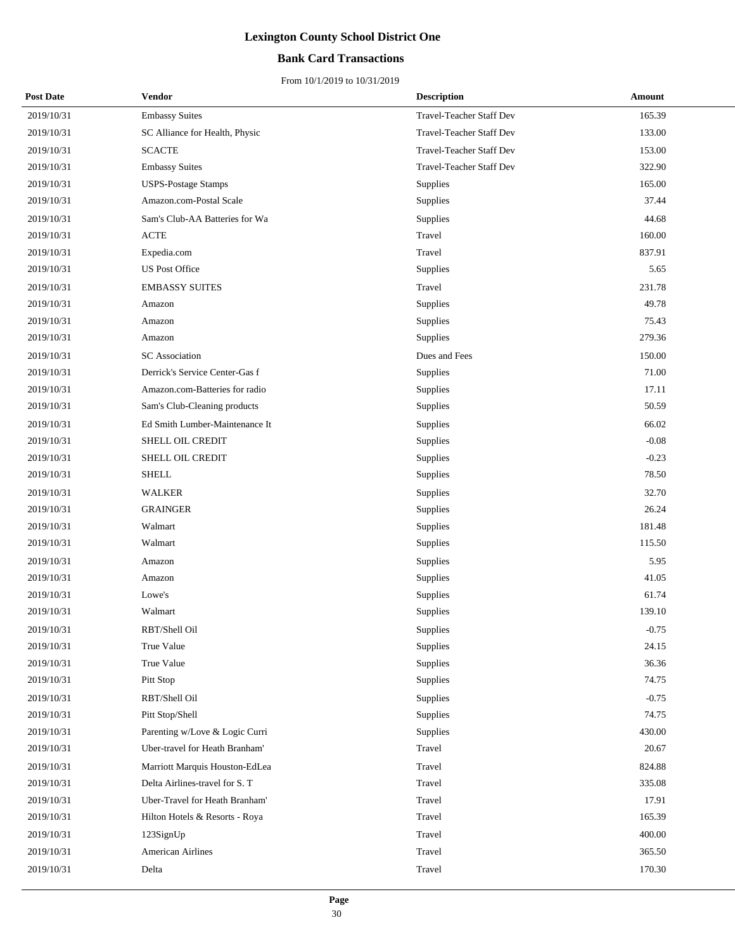## **Bank Card Transactions**

| <b>Post Date</b> | Vendor                         | <b>Description</b>              | Amount  |
|------------------|--------------------------------|---------------------------------|---------|
| 2019/10/31       | <b>Embassy Suites</b>          | Travel-Teacher Staff Dev        | 165.39  |
| 2019/10/31       | SC Alliance for Health, Physic | Travel-Teacher Staff Dev        | 133.00  |
| 2019/10/31       | <b>SCACTE</b>                  | Travel-Teacher Staff Dev        | 153.00  |
| 2019/10/31       | <b>Embassy Suites</b>          | <b>Travel-Teacher Staff Dev</b> | 322.90  |
| 2019/10/31       | <b>USPS-Postage Stamps</b>     | Supplies                        | 165.00  |
| 2019/10/31       | Amazon.com-Postal Scale        | <b>Supplies</b>                 | 37.44   |
| 2019/10/31       | Sam's Club-AA Batteries for Wa | Supplies                        | 44.68   |
| 2019/10/31       | ACTE                           | Travel                          | 160.00  |
| 2019/10/31       | Expedia.com                    | Travel                          | 837.91  |
| 2019/10/31       | <b>US Post Office</b>          | Supplies                        | 5.65    |
| 2019/10/31       | <b>EMBASSY SUITES</b>          | Travel                          | 231.78  |
| 2019/10/31       | Amazon                         | Supplies                        | 49.78   |
| 2019/10/31       | Amazon                         | Supplies                        | 75.43   |
| 2019/10/31       | Amazon                         | Supplies                        | 279.36  |
| 2019/10/31       | <b>SC</b> Association          | Dues and Fees                   | 150.00  |
| 2019/10/31       | Derrick's Service Center-Gas f | Supplies                        | 71.00   |
| 2019/10/31       | Amazon.com-Batteries for radio | Supplies                        | 17.11   |
| 2019/10/31       | Sam's Club-Cleaning products   | Supplies                        | 50.59   |
| 2019/10/31       | Ed Smith Lumber-Maintenance It | Supplies                        | 66.02   |
| 2019/10/31       | SHELL OIL CREDIT               | Supplies                        | $-0.08$ |
| 2019/10/31       | SHELL OIL CREDIT               | Supplies                        | $-0.23$ |
| 2019/10/31       | <b>SHELL</b>                   | Supplies                        | 78.50   |
| 2019/10/31       | WALKER                         | Supplies                        | 32.70   |
| 2019/10/31       | <b>GRAINGER</b>                | Supplies                        | 26.24   |
| 2019/10/31       | Walmart                        | Supplies                        | 181.48  |
| 2019/10/31       | Walmart                        | Supplies                        | 115.50  |
| 2019/10/31       | Amazon                         | Supplies                        | 5.95    |
| 2019/10/31       | Amazon                         | Supplies                        | 41.05   |
| 2019/10/31       | Lowe's                         | Supplies                        | 61.74   |
| 2019/10/31       | Walmart                        | Supplies                        | 139.10  |
| 2019/10/31       | RBT/Shell Oil                  | Supplies                        | $-0.75$ |
| 2019/10/31       | True Value                     | Supplies                        | 24.15   |
| 2019/10/31       | True Value                     | Supplies                        | 36.36   |
| 2019/10/31       | Pitt Stop                      | Supplies                        | 74.75   |
| 2019/10/31       | RBT/Shell Oil                  | Supplies                        | $-0.75$ |
| 2019/10/31       | Pitt Stop/Shell                | Supplies                        | 74.75   |
| 2019/10/31       | Parenting w/Love & Logic Curri | Supplies                        | 430.00  |
| 2019/10/31       | Uber-travel for Heath Branham' | Travel                          | 20.67   |
| 2019/10/31       | Marriott Marquis Houston-EdLea | Travel                          | 824.88  |
| 2019/10/31       | Delta Airlines-travel for S. T | Travel                          | 335.08  |
| 2019/10/31       | Uber-Travel for Heath Branham' | Travel                          | 17.91   |
| 2019/10/31       | Hilton Hotels & Resorts - Roya | Travel                          | 165.39  |
| 2019/10/31       | 123SignUp                      | Travel                          | 400.00  |
| 2019/10/31       | <b>American Airlines</b>       | Travel                          | 365.50  |
| 2019/10/31       | Delta                          | Travel                          | 170.30  |
|                  |                                |                                 |         |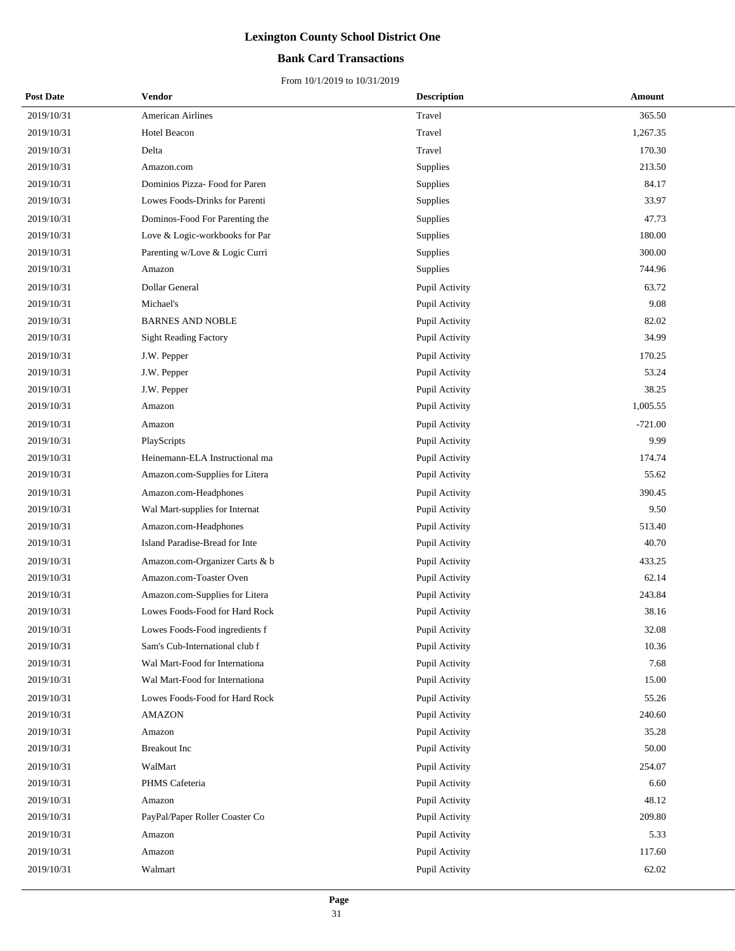## **Bank Card Transactions**

| <b>Post Date</b> | Vendor                         | <b>Description</b> | Amount    |
|------------------|--------------------------------|--------------------|-----------|
| 2019/10/31       | <b>American Airlines</b>       | Travel             | 365.50    |
| 2019/10/31       | Hotel Beacon                   | Travel             | 1,267.35  |
| 2019/10/31       | Delta                          | Travel             | 170.30    |
| 2019/10/31       | Amazon.com                     | Supplies           | 213.50    |
| 2019/10/31       | Dominios Pizza- Food for Paren | Supplies           | 84.17     |
| 2019/10/31       | Lowes Foods-Drinks for Parenti | Supplies           | 33.97     |
| 2019/10/31       | Dominos-Food For Parenting the | Supplies           | 47.73     |
| 2019/10/31       | Love & Logic-workbooks for Par | Supplies           | 180.00    |
| 2019/10/31       | Parenting w/Love & Logic Curri | Supplies           | 300.00    |
| 2019/10/31       | Amazon                         | Supplies           | 744.96    |
| 2019/10/31       | Dollar General                 | Pupil Activity     | 63.72     |
| 2019/10/31       | Michael's                      | Pupil Activity     | 9.08      |
| 2019/10/31       | <b>BARNES AND NOBLE</b>        | Pupil Activity     | 82.02     |
| 2019/10/31       | <b>Sight Reading Factory</b>   | Pupil Activity     | 34.99     |
| 2019/10/31       | J.W. Pepper                    | Pupil Activity     | 170.25    |
| 2019/10/31       | J.W. Pepper                    | Pupil Activity     | 53.24     |
| 2019/10/31       | J.W. Pepper                    | Pupil Activity     | 38.25     |
| 2019/10/31       | Amazon                         | Pupil Activity     | 1,005.55  |
| 2019/10/31       | Amazon                         | Pupil Activity     | $-721.00$ |
| 2019/10/31       | PlayScripts                    | Pupil Activity     | 9.99      |
| 2019/10/31       | Heinemann-ELA Instructional ma | Pupil Activity     | 174.74    |
| 2019/10/31       | Amazon.com-Supplies for Litera | Pupil Activity     | 55.62     |
| 2019/10/31       | Amazon.com-Headphones          | Pupil Activity     | 390.45    |
| 2019/10/31       | Wal Mart-supplies for Internat | Pupil Activity     | 9.50      |
| 2019/10/31       | Amazon.com-Headphones          | Pupil Activity     | 513.40    |
| 2019/10/31       | Island Paradise-Bread for Inte | Pupil Activity     | 40.70     |
| 2019/10/31       | Amazon.com-Organizer Carts & b | Pupil Activity     | 433.25    |
| 2019/10/31       | Amazon.com-Toaster Oven        | Pupil Activity     | 62.14     |
| 2019/10/31       | Amazon.com-Supplies for Litera | Pupil Activity     | 243.84    |
| 2019/10/31       | Lowes Foods-Food for Hard Rock | Pupil Activity     | 38.16     |
| 2019/10/31       | Lowes Foods-Food ingredients f | Pupil Activity     | 32.08     |
| 2019/10/31       | Sam's Cub-International club f | Pupil Activity     | 10.36     |
| 2019/10/31       | Wal Mart-Food for Internationa | Pupil Activity     | 7.68      |
| 2019/10/31       | Wal Mart-Food for Internationa | Pupil Activity     | 15.00     |
| 2019/10/31       | Lowes Foods-Food for Hard Rock | Pupil Activity     | 55.26     |
| 2019/10/31       | AMAZON                         | Pupil Activity     | 240.60    |
| 2019/10/31       | Amazon                         | Pupil Activity     | 35.28     |
| 2019/10/31       | <b>Breakout</b> Inc            | Pupil Activity     | 50.00     |
| 2019/10/31       | WalMart                        | Pupil Activity     | 254.07    |
| 2019/10/31       | PHMS Cafeteria                 | Pupil Activity     | 6.60      |
| 2019/10/31       | Amazon                         | Pupil Activity     | 48.12     |
| 2019/10/31       | PayPal/Paper Roller Coaster Co | Pupil Activity     | 209.80    |
| 2019/10/31       | Amazon                         | Pupil Activity     | 5.33      |
| 2019/10/31       | Amazon                         | Pupil Activity     | 117.60    |
| 2019/10/31       | Walmart                        | Pupil Activity     | 62.02     |
|                  |                                |                    |           |